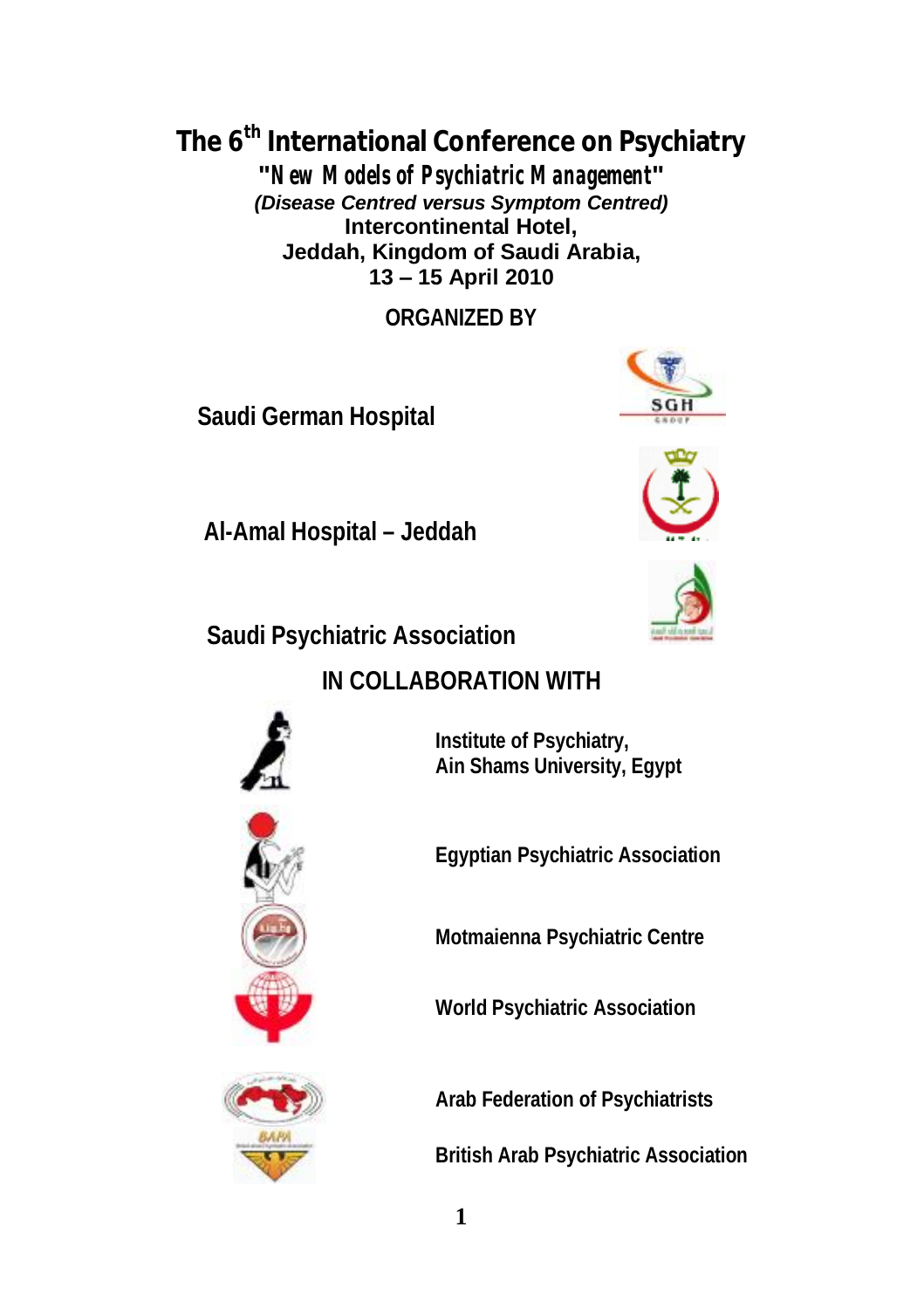**The 6th International Conference on Psychiatry** 

**"***New Models of Psychiatric Management***"**  *(Disease Centred versus Symptom Centred)* **Intercontinental Hotel, Jeddah, Kingdom of Saudi Arabia, 13 – 15 April 2010** 

**ORGANIZED BY** 

**Saudi German Hospital**







**Saudi Psychiatric Association**

**Al-Amal Hospital – Jeddah**

**IN COLLABORATION WITH** 

**Institute of Psychiatry, Ain Shams University, Egypt**

**Egyptian Psychiatric Association**

**Motmaienna Psychiatric Centre** 

**World Psychiatric Association** 

**Arab Federation of Psychiatrists**

**British Arab Psychiatric Association** 



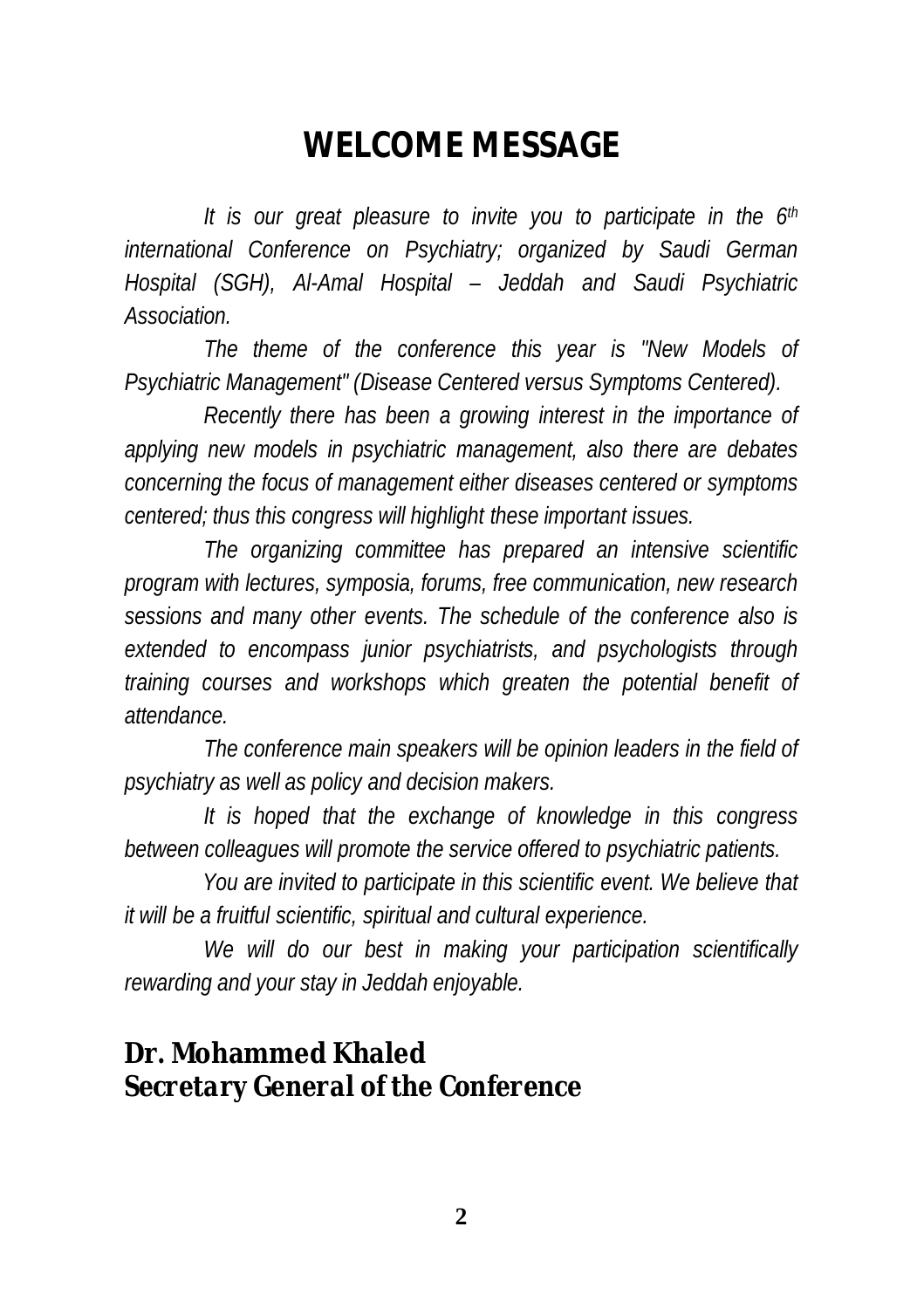## **WELCOME MESSAGE**

*It is our great pleasure to invite you to participate in the 6th international Conference on Psychiatry; organized by Saudi German Hospital (SGH), Al-Amal Hospital – Jeddah and Saudi Psychiatric Association.* 

*The theme of the conference this year is "New Models of Psychiatric Management" (Disease Centered versus Symptoms Centered).* 

*Recently there has been a growing interest in the importance of applying new models in psychiatric management, also there are debates concerning the focus of management either diseases centered or symptoms centered; thus this congress will highlight these important issues.* 

*The organizing committee has prepared an intensive scientific program with lectures, symposia, forums, free communication, new research sessions and many other events. The schedule of the conference also is extended to encompass junior psychiatrists, and psychologists through training courses and workshops which greaten the potential benefit of attendance.* 

*The conference main speakers will be opinion leaders in the field of psychiatry as well as policy and decision makers.* 

*It is hoped that the exchange of knowledge in this congress between colleagues will promote the service offered to psychiatric patients.* 

*You are invited to participate in this scientific event. We believe that it will be a fruitful scientific, spiritual and cultural experience.* 

*We will do our best in making your participation scientifically rewarding and your stay in Jeddah enjoyable.* 

#### **Dr. Mohammed Khaled**  *Secretary General of the Conference*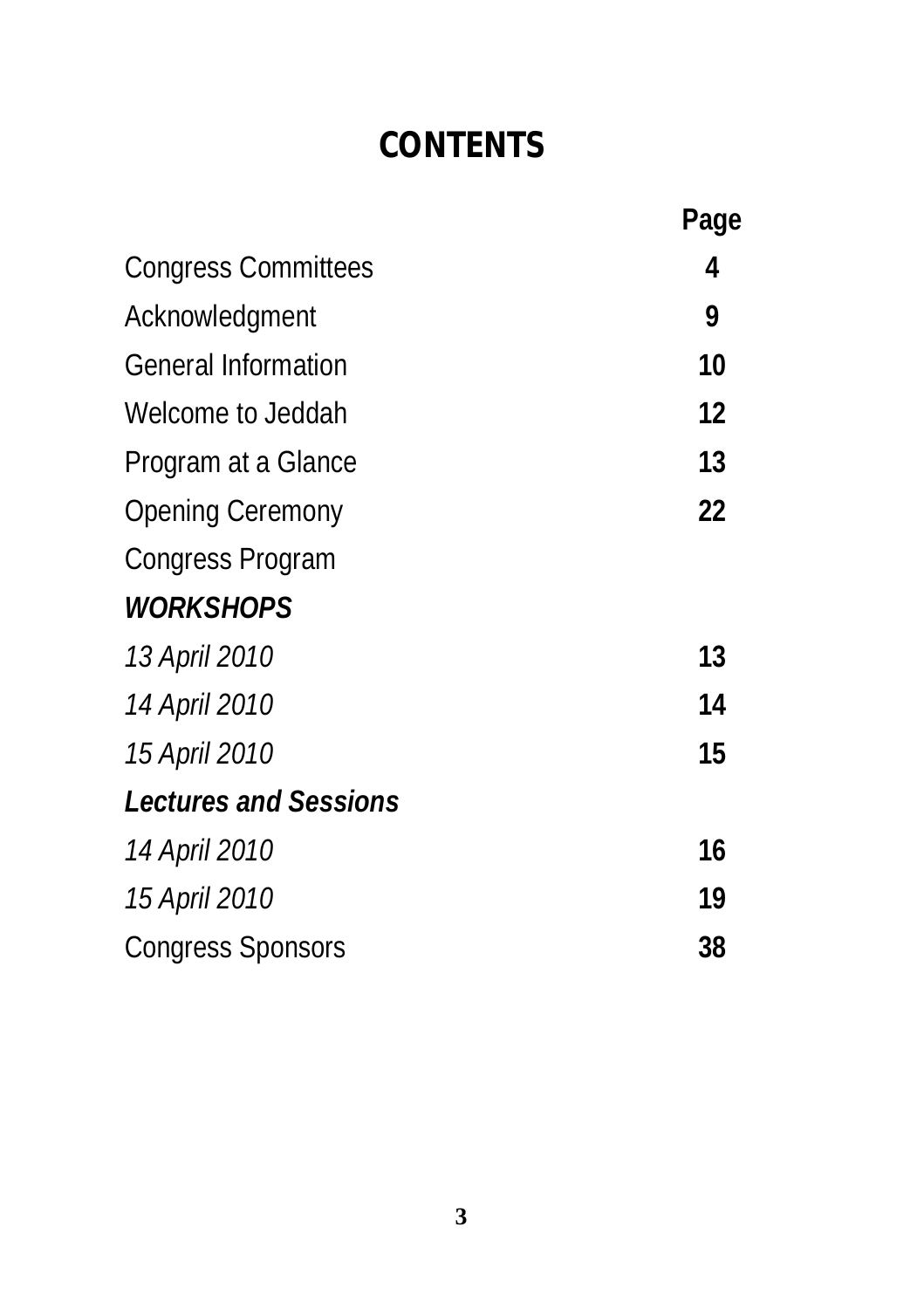# **CONTENTS**

|                              | Page |
|------------------------------|------|
| <b>Congress Committees</b>   | 4    |
| Acknowledgment               | 9    |
| <b>General Information</b>   | 10   |
| Welcome to Jeddah            | 12   |
| Program at a Glance          | 13   |
| <b>Opening Ceremony</b>      | 22   |
| <b>Congress Program</b>      |      |
| <b>WORKSHOPS</b>             |      |
| 13 April 2010                | 13   |
| 14 April 2010                | 14   |
| 15 April 2010                | 15   |
| <b>Lectures and Sessions</b> |      |
| 14 April 2010                | 16   |
| 15 April 2010                | 19   |
| <b>Congress Sponsors</b>     | 38   |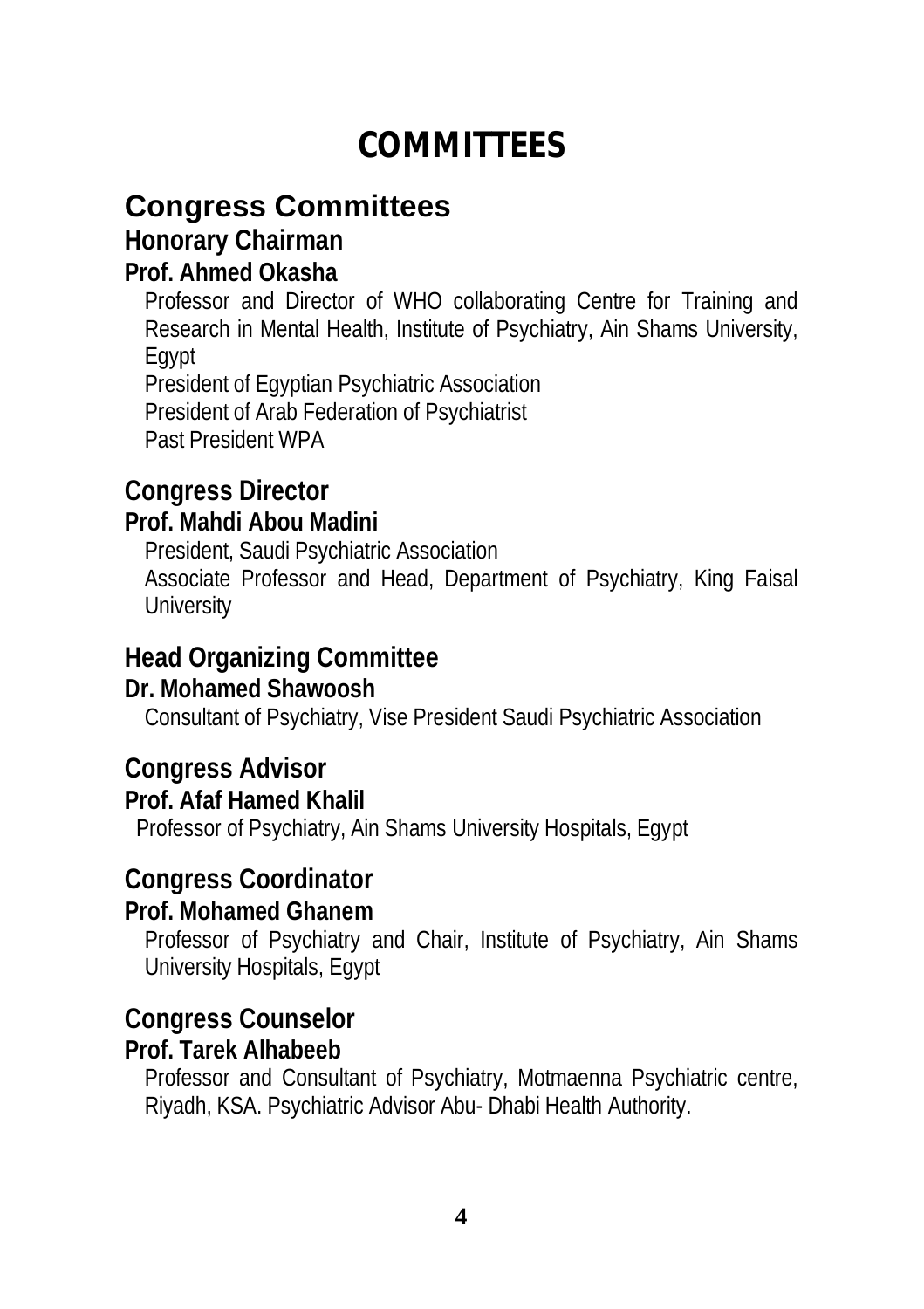## **COMMITTEES**

### **Congress Committees**

#### **Honorary Chairman**

#### **Prof. Ahmed Okasha**

Professor and Director of WHO collaborating Centre for Training and Research in Mental Health, Institute of Psychiatry, Ain Shams University, Egypt

President of Egyptian Psychiatric Association President of Arab Federation of Psychiatrist Past President WPA

#### **Congress Director**

#### **Prof. Mahdi Abou Madini**

President, Saudi Psychiatric Association

Associate Professor and Head, Department of Psychiatry, King Faisal **University** 

#### **Head Organizing Committee**

#### **Dr. Mohamed Shawoosh**

Consultant of Psychiatry, Vise President Saudi Psychiatric Association

#### **Congress Advisor**

#### **Prof. Afaf Hamed Khalil**

Professor of Psychiatry, Ain Shams University Hospitals, Egypt

#### **Congress Coordinator**

#### **Prof. Mohamed Ghanem**

Professor of Psychiatry and Chair, Institute of Psychiatry, Ain Shams University Hospitals, Egypt

#### **Congress Counselor**

#### **Prof. Tarek Alhabeeb**

Professor and Consultant of Psychiatry, Motmaenna Psychiatric centre, Riyadh, KSA. Psychiatric Advisor Abu- Dhabi Health Authority.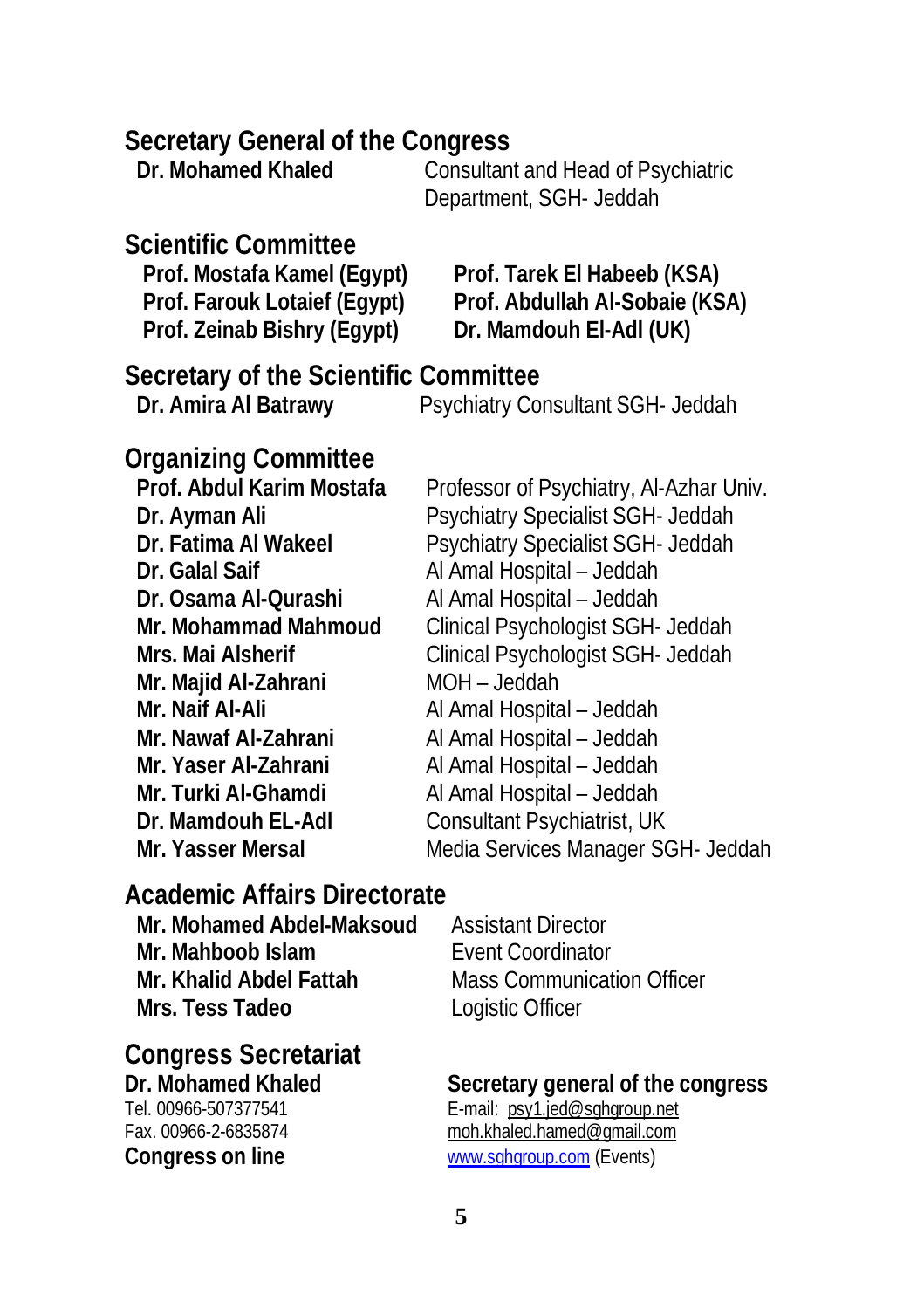#### **Secretary General of the Congress**

| Dr. Mohamed Khaled | Consultant and Head of Psychiatric |
|--------------------|------------------------------------|
|                    | December of COU Leddel             |

Department, SGH- Jeddah

### **Scientific Committee**

**Prof. Zeinab Bishry (Egypt) Dr. Mamdouh El-Adl (UK)**

**Prof. Mostafa Kamel (Egypt) Prof. Tarek El Habeeb (KSA) Prof. Farouk Lotaief (Egypt) Prof. Abdullah Al-Sobaie (KSA)**

#### **Secretary of the Scientific Committee**

**Dr. Amira Al Batrawy** Psychiatry Consultant SGH- Jeddah

#### **Organizing Committee**

**Dr. Galal Saif** Al Amal Hospital – Jeddah **Dr. Osama Al-Qurashi** Al Amal Hospital – Jeddah **Mr. Majid Al-Zahrani** MOH – Jeddah **Mr. Naif Al-Ali** Al Amal Hospital – Jeddah **Mr. Nawaf Al-Zahrani** Al Amal Hospital – Jeddah **Mr. Yaser Al-Zahrani** Al Amal Hospital – Jeddah **Mr. Turki Al-Ghamdi** Al Amal Hospital – Jeddah

Prof. Abdul Karim Mostafa Professor of Psychiatry, Al-Azhar Univ. **Dr. Ayman Ali** Psychiatry Specialist SGH- Jeddah **Dr. Fatima Al Wakeel** Psychiatry Specialist SGH- Jeddah **Mr. Mohammad Mahmoud** Clinical Psychologist SGH- Jeddah **Mrs. Mai Alsherif** Clinical Psychologist SGH- Jeddah **Dr. Mamdouh EL-Adl** Consultant Psychiatrist, UK **Mr. Yasser Mersal** Media Services Manager SGH- Jeddah

### **Academic Affairs Directorate**

**Mr. Mohamed Abdel-Maksoud** Assistant Director **Mr. Mahboob Islam Event Coordinator Mr. Khalid Abdel Fattah** Mass Communication Officer **Mrs. Tess Tadeo** Logistic Officer

**Congress Secretariat** 

Tel. 00966-507377541 E-mail: [psy1.jed@sghgroup.net](mailto:psy1.jed@sghgroup.net)

### **Dr. Mohamed Khaled Secretary general of the congress**

Fax. 00966-2-6835874 [moh.khaled.hamed@gmail.com](mailto:moh.khaled.hamed@gmail.com) **Congress on line** [www.sghgroup.com](http://www.sghgroup.com) (Events)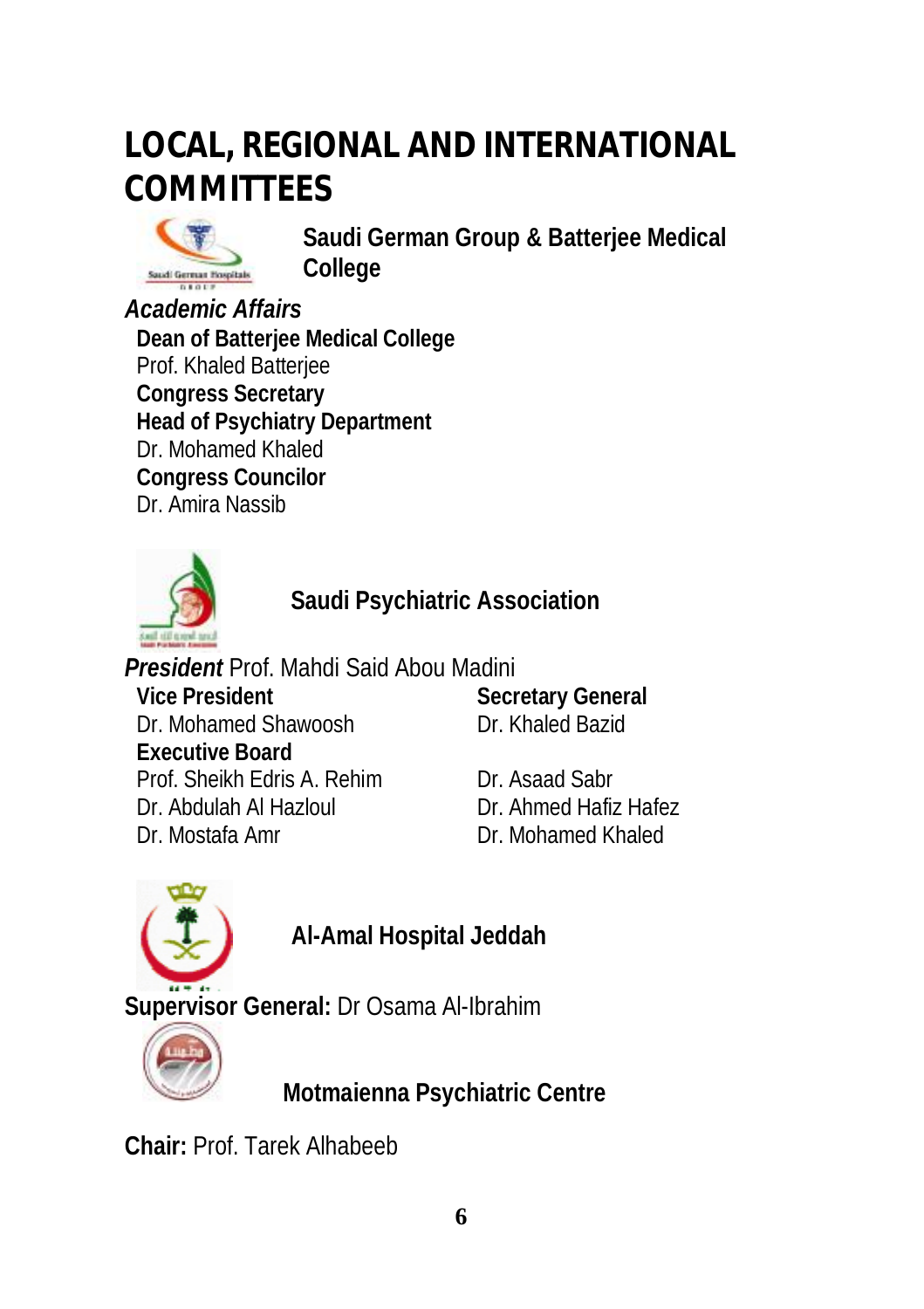# **LOCAL, REGIONAL AND INTERNATIONAL COMMITTEES**



**Saudi German Group & Batterjee Medical College** 

*Academic Affairs* **Dean of Batterjee Medical College** Prof. Khaled Batterjee **Congress Secretary Head of Psychiatry Department**  Dr. Mohamed Khaled **Congress Councilor** Dr. Amira Nassib



**Saudi Psychiatric Association** 

*President* Prof. Mahdi Said Abou Madini **Vice President** Dr. Mohamed Shawoosh **Executive Board** Prof. Sheikh Edris A. Rehim Dr. Asaad Sabr Dr. Abdulah Al Hazloul Dr. Ahmed Hafiz Hafez Dr. Mostafa Amr Dr. Mohamed Khaled

**Secretary General** Dr. Khaled Bazid

**Al-Amal Hospital Jeddah** 

**Supervisor General:** Dr Osama Al-Ibrahim



 **Motmaienna Psychiatric Centre**

**Chair:** Prof. Tarek Alhabeeb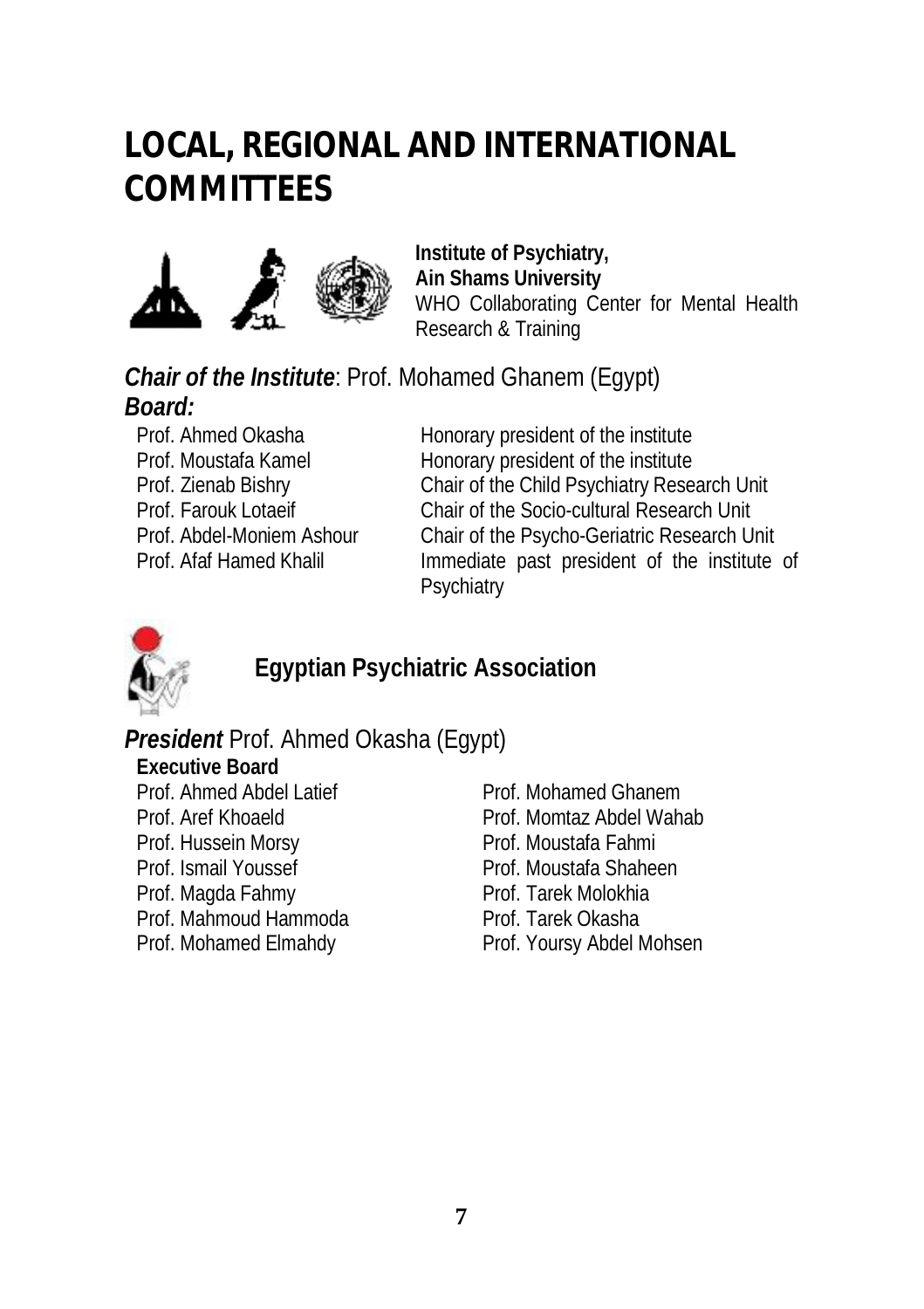## **LOCAL, REGIONAL AND INTERNATIONAL COMMITTEES**



**Institute of Psychiatry, Ain Shams University**  WHO Collaborating Center for Mental Health Research & Training

*Chair of the Institute*: Prof. Mohamed Ghanem (Egypt) *Board:* 

Prof. Ahmed Okasha **Honorary president of the institute** Prof. Moustafa Kamel Honorary president of the institute Prof. Zienab Bishry Chair of the Child Psychiatry Research Unit Prof. Farouk Lotaeif Chair of the Socio-cultural Research Unit Prof. Abdel-Moniem Ashour Chair of the Psycho-Geriatric Research Unit Prof. Afaf Hamed Khalil Immediate past president of the institute of **Psychiatry** 



**Egyptian Psychiatric Association** 

#### *President* Prof. Ahmed Okasha (Egypt)

- **Executive Board** Prof. Ahmed Abdel Latief Prof. Mohamed Ghanem Prof. Hussein Morsy **Prof. Moustafa Fahmi** Prof. Ismail Youssef Prof. Moustafa Shaheen Prof. Magda Fahmy Prof. Tarek Molokhia Prof. Mahmoud Hammoda Prof. Tarek Okasha
- Prof. Aref Khoaeld Prof. Momtaz Abdel Wahab Prof. Mohamed Elmahdy Prof. Yoursy Abdel Mohsen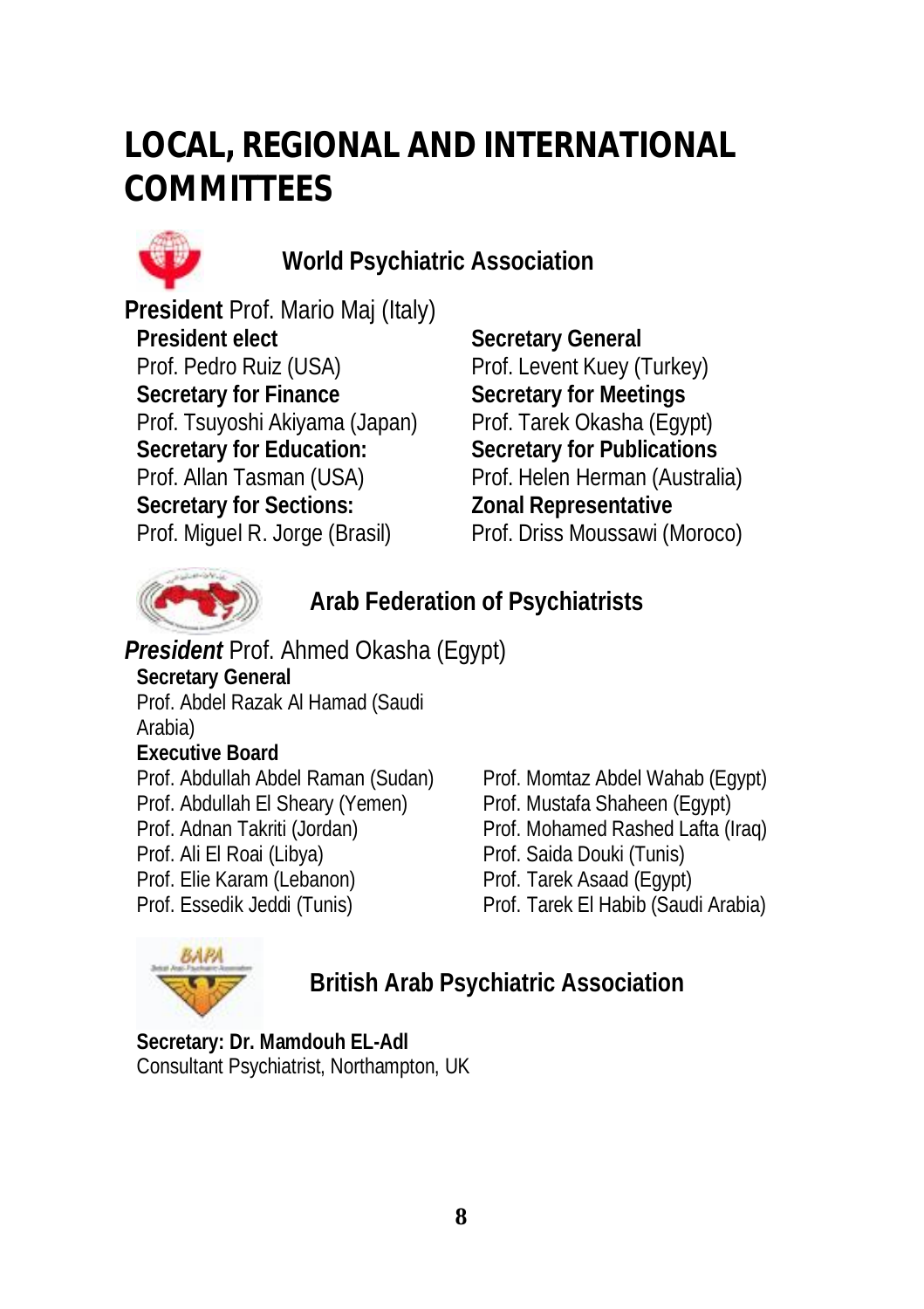# **LOCAL, REGIONAL AND INTERNATIONAL COMMITTEES**



**World Psychiatric Association** 

**President** Prof. Mario Maj (Italy) **President elect** Prof. Pedro Ruiz (USA) **Secretary for Finance** Prof. Tsuyoshi Akiyama (Japan) **Secretary for Education:** Prof. Allan Tasman (USA) **Secretary for Sections:** Prof. Miguel R. Jorge (Brasil)

**Secretary General** Prof. Levent Kuey (Turkey) **Secretary for Meetings** Prof. Tarek Okasha (Egypt) **Secretary for Publications** Prof. Helen Herman (Australia) **Zonal Representative** Prof. Driss Moussawi (Moroco)



**Arab Federation of Psychiatrists** 

*President* Prof. Ahmed Okasha (Egypt) **Secretary General** Prof. Abdel Razak Al Hamad (Saudi Arabia) **Executive Board** Prof. Abdullah Abdel Raman (Sudan) Prof. Momtaz Abdel Wahab (Egypt) Prof. Abdullah El Sheary (Yemen) Prof. Mustafa Shaheen (Egypt) Prof. Adnan Takriti (Jordan) Prof. Mohamed Rashed Lafta (Iraq) Prof. Ali El Roai (Libya) Prof. Saida Douki (Tunis) Prof. Elie Karam (Lebanon) Prof. Tarek Asaad (Egypt) Prof. Essedik Jeddi (Tunis) Prof. Tarek El Habib (Saudi Arabia)



**British Arab Psychiatric Association** 

**Secretary: Dr. Mamdouh EL-Adl** Consultant Psychiatrist, Northampton, UK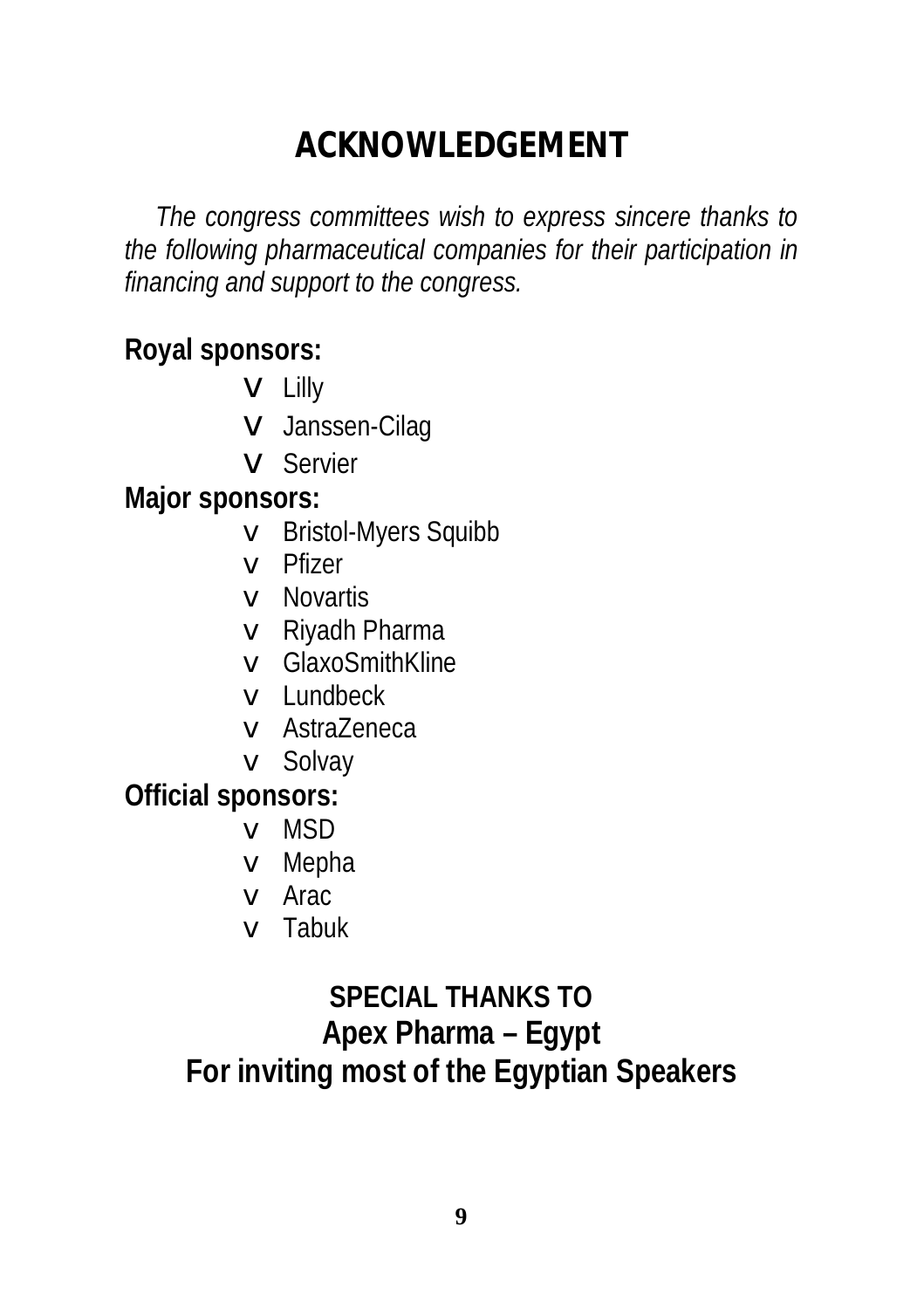## **ACKNOWLEDGEMENT**

*The congress committees wish to express sincere thanks to the following pharmaceutical companies for their participation in financing and support to the congress.* 

**Royal sponsors:** 

- **v** Lilly
- v Janssen-Cilag
- v Servier

**Major sponsors:** 

- v Bristol-Myers Squibb
- v Pfizer
- v Novartis
- v Riyadh Pharma
- v GlaxoSmithKline
- v Lundbeck
- v AstraZeneca
- v Solvay

**Official sponsors:** 

- v MSD
- v Mepha
- v Arac
- v Tabuk

## **SPECIAL THANKS TO Apex Pharma – Egypt For inviting most of the Egyptian Speakers**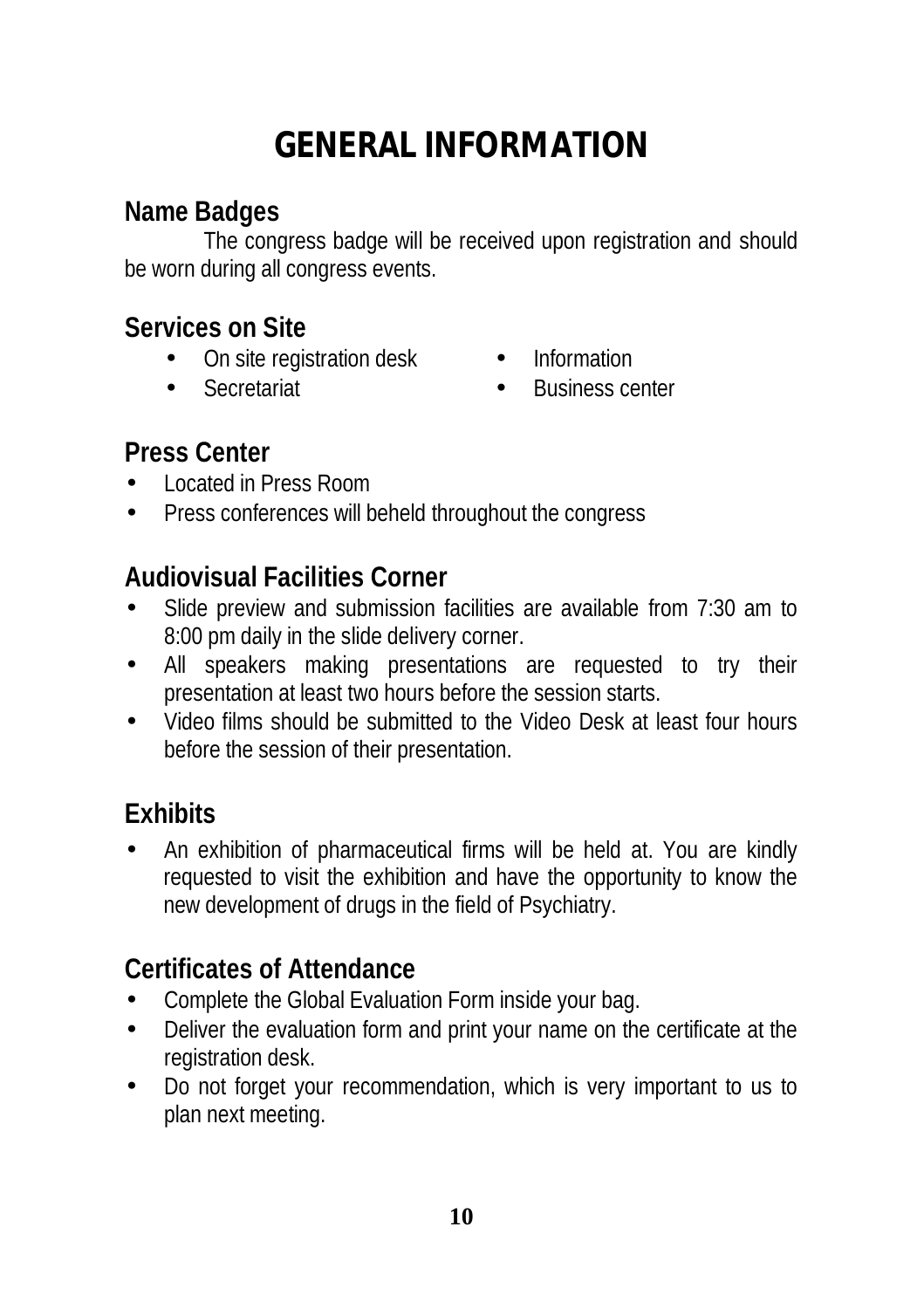# **GENERAL INFORMATION**

#### **Name Badges**

The congress badge will be received upon registration and should be worn during all congress events.

#### **Services on Site**

- On site registration desk Information
- 
- 
- Secretariat Business center

#### **Press Center**

- Located in Press Room
- Press conferences will beheld throughout the congress

#### **Audiovisual Facilities Corner**

- Slide preview and submission facilities are available from 7:30 am to 8:00 pm daily in the slide delivery corner.
- All speakers making presentations are requested to try their presentation at least two hours before the session starts.
- Video films should be submitted to the Video Desk at least four hours before the session of their presentation.

### **Exhibits**

• An exhibition of pharmaceutical firms will be held at. You are kindly requested to visit the exhibition and have the opportunity to know the new development of drugs in the field of Psychiatry.

### **Certificates of Attendance**

- Complete the Global Evaluation Form inside your bag.
- Deliver the evaluation form and print your name on the certificate at the registration desk.
- Do not forget your recommendation, which is very important to us to plan next meeting.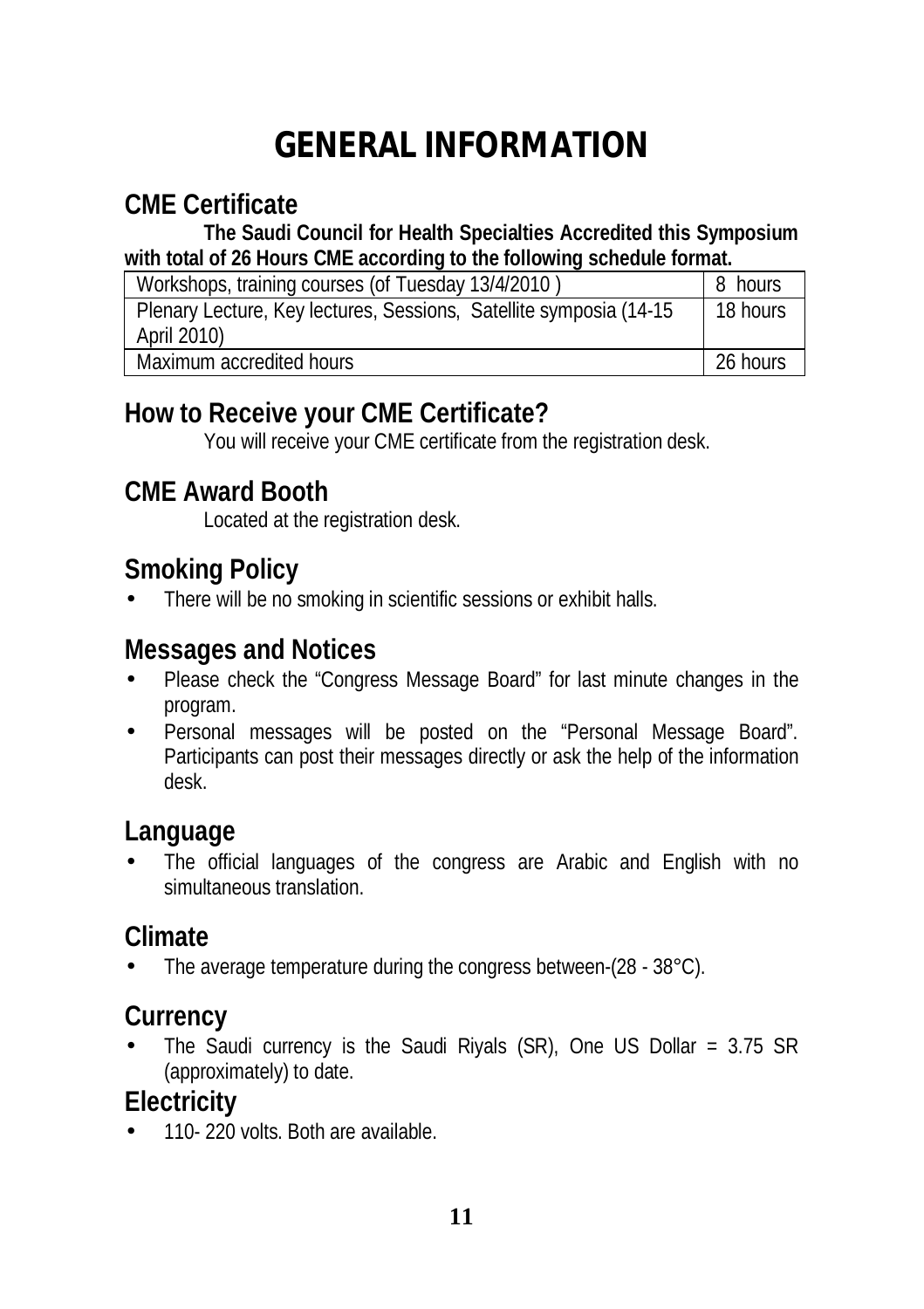# **GENERAL INFORMATION**

### **CME Certificate**

**The Saudi Council for Health Specialties Accredited this Symposium with total of 26 Hours CME according to the following schedule format.** 

| Workshops, training courses (of Tuesday 13/4/2010)                                 | 8 hours  |
|------------------------------------------------------------------------------------|----------|
| Plenary Lecture, Key lectures, Sessions, Satellite symposia (14-15)<br>April 2010) | 18 hours |
| Maximum accredited hours                                                           | 26 hours |

#### **How to Receive your CME Certificate?**

You will receive your CME certificate from the registration desk.

#### **CME Award Booth**

Located at the registration desk.

#### **Smoking Policy**

There will be no smoking in scientific sessions or exhibit halls.

#### **Messages and Notices**

- Please check the "Congress Message Board" for last minute changes in the program.
- Personal messages will be posted on the "Personal Message Board". Participants can post their messages directly or ask the help of the information desk.

#### **Language**

The official languages of the congress are Arabic and English with no simultaneous translation.

#### **Climate**

• The average temperature during the congress between-(28 - 38°C).

#### **Currency**

The Saudi currency is the Saudi Riyals (SR), One US Dollar =  $3.75$  SR (approximately) to date.

#### **Electricity**

• 110- 220 volts. Both are available.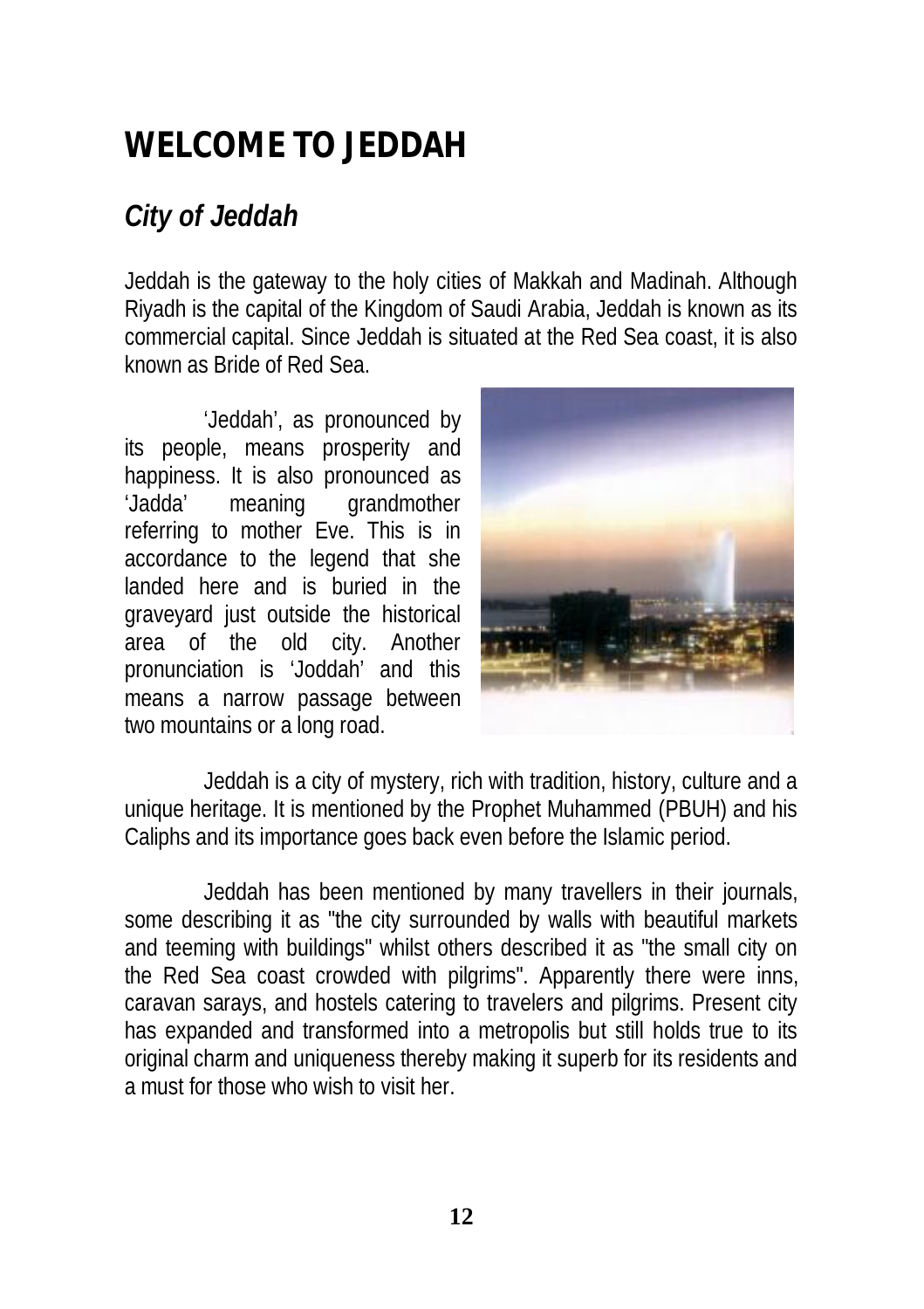# **WELCOME TO JEDDAH**

### *City of Jeddah*

Jeddah is the gateway to the holy cities of Makkah and Madinah. Although Riyadh is the capital of the Kingdom of Saudi Arabia, Jeddah is known as its commercial capital. Since Jeddah is situated at the Red Sea coast, it is also known as Bride of Red Sea.

'Jeddah', as pronounced by its people, means prosperity and happiness. It is also pronounced as 'Jadda' meaning grandmother referring to mother Eve. This is in accordance to the legend that she landed here and is buried in the graveyard just outside the historical area of the old city. Another pronunciation is 'Joddah' and this means a narrow passage between two mountains or a long road.



Jeddah is a city of mystery, rich with tradition, history, culture and a unique heritage. It is mentioned by the Prophet Muhammed (PBUH) and his Caliphs and its importance goes back even before the Islamic period.

Jeddah has been mentioned by many travellers in their journals, some describing it as "the city surrounded by walls with beautiful markets and teeming with buildings" whilst others described it as "the small city on the Red Sea coast crowded with pilgrims". Apparently there were inns, caravan sarays, and hostels catering to travelers and pilgrims. Present city has expanded and transformed into a metropolis but still holds true to its original charm and uniqueness thereby making it superb for its residents and a must for those who wish to visit her.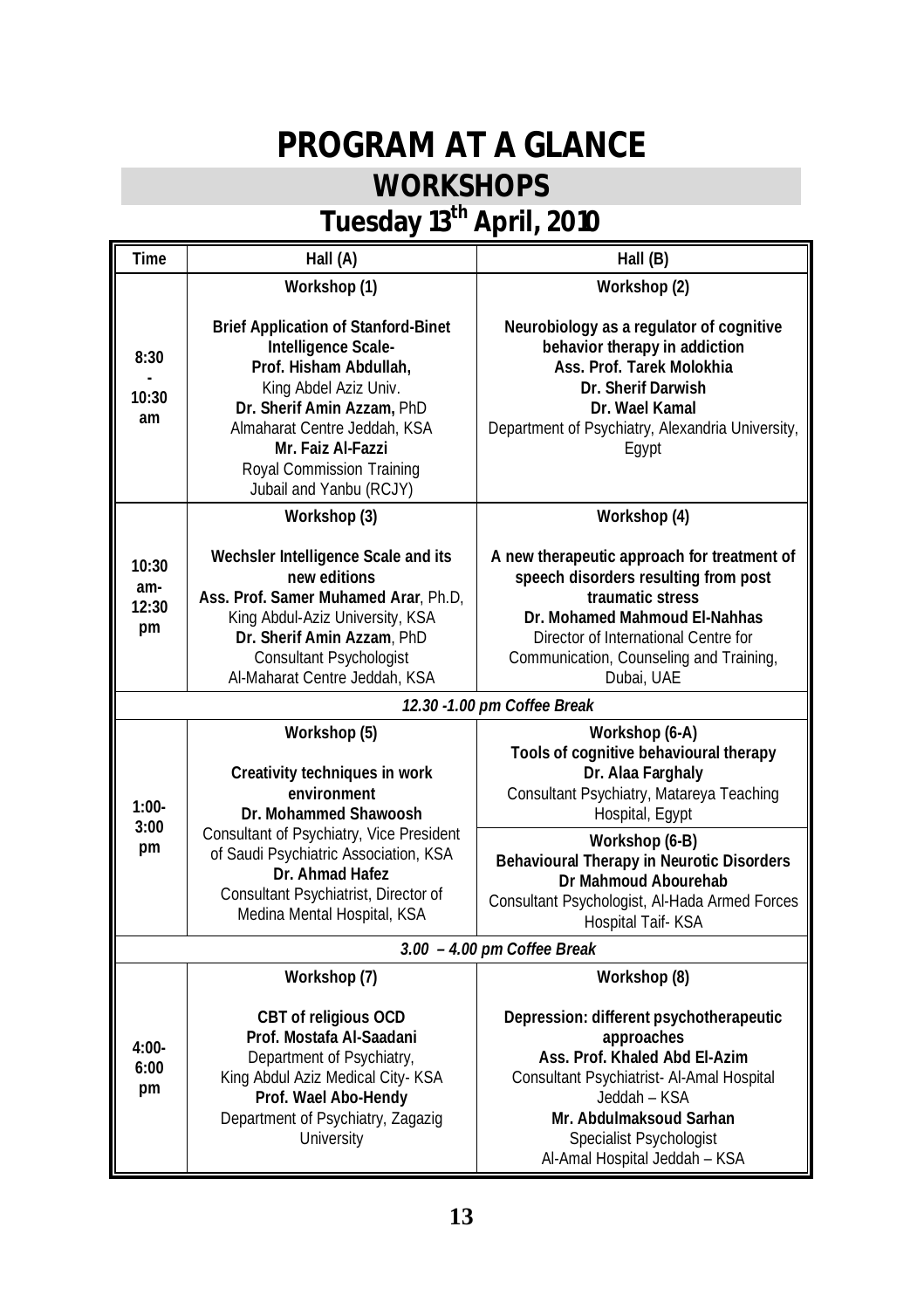## **PROGRAM AT A GLANCE WORKSHOPS**

## **Tuesday 13th April, 2010**

| Time                         | Hall (A)                                                                                                                                                                                                                                                        | Hall (B)                                                                                                                                                                                                                                  |
|------------------------------|-----------------------------------------------------------------------------------------------------------------------------------------------------------------------------------------------------------------------------------------------------------------|-------------------------------------------------------------------------------------------------------------------------------------------------------------------------------------------------------------------------------------------|
|                              | Workshop (1)                                                                                                                                                                                                                                                    | Workshop (2)                                                                                                                                                                                                                              |
| 8:30<br>10:30<br>am          | <b>Brief Application of Stanford-Binet</b><br>Intelligence Scale-<br>Prof. Hisham Abdullah.<br>King Abdel Aziz Univ.<br>Dr. Sherif Amin Azzam, PhD<br>Almaharat Centre Jeddah, KSA<br>Mr. Faiz Al-Fazzi<br>Royal Commission Training<br>Jubail and Yanbu (RCJY) | Neurobiology as a regulator of cognitive<br>behavior therapy in addiction<br>Ass. Prof. Tarek Molokhia<br>Dr. Sherif Darwish<br>Dr. Wael Kamal<br>Department of Psychiatry, Alexandria University,<br>Eqypt                               |
|                              | Workshop (3)                                                                                                                                                                                                                                                    | Workshop (4)                                                                                                                                                                                                                              |
| 10:30<br>am-<br>12:30<br>pm  | Wechsler Intelligence Scale and its<br>new editions<br>Ass. Prof. Samer Muhamed Arar, Ph.D,<br>King Abdul-Aziz University, KSA<br>Dr. Sherif Amin Azzam, PhD<br>Consultant Psychologist<br>Al-Maharat Centre Jeddah, KSA                                        | A new therapeutic approach for treatment of<br>speech disorders resulting from post<br>traumatic stress<br>Dr. Mohamed Mahmoud El-Nahhas<br>Director of International Centre for<br>Communication, Counseling and Training,<br>Dubai, UAE |
| 12.30 - 1.00 pm Coffee Break |                                                                                                                                                                                                                                                                 |                                                                                                                                                                                                                                           |
| $1:00-$                      | Workshop (5)<br>Creativity techniques in work<br>environment<br>Dr. Mohammed Shawoosh                                                                                                                                                                           | Workshop (6-A)<br>Tools of cognitive behavioural therapy<br>Dr. Alaa Farghaly<br>Consultant Psychiatry, Matareya Teaching<br>Hospital, Egypt                                                                                              |
| 3:00<br>pm                   | Consultant of Psychiatry, Vice President<br>of Saudi Psychiatric Association, KSA<br>Dr. Ahmad Hafez<br>Consultant Psychiatrist, Director of<br>Medina Mental Hospital, KSA                                                                                     | Workshop (6-B)<br>Behavioural Therapy in Neurotic Disorders<br>Dr Mahmoud Abourehab<br>Consultant Psychologist, Al-Hada Armed Forces<br>Hospital Taif-KSA                                                                                 |
|                              |                                                                                                                                                                                                                                                                 | 3.00 - 4.00 pm Coffee Break                                                                                                                                                                                                               |
| $4:00-$<br>6:00<br>pm        | Workshop (7)<br>CBT of religious OCD<br>Prof. Mostafa Al-Saadani<br>Department of Psychiatry,<br>King Abdul Aziz Medical City- KSA<br>Prof. Wael Abo-Hendy                                                                                                      | Workshop (8)<br>Depression: different psychotherapeutic<br>approaches<br>Ass. Prof. Khaled Abd El-Azim<br>Consultant Psychiatrist- Al-Amal Hospital<br>Jeddah - KSA                                                                       |
|                              | Department of Psychiatry, Zagazig<br>University                                                                                                                                                                                                                 | Mr. Abdulmaksoud Sarhan<br>Specialist Psychologist<br>Al-Amal Hospital Jeddah - KSA                                                                                                                                                       |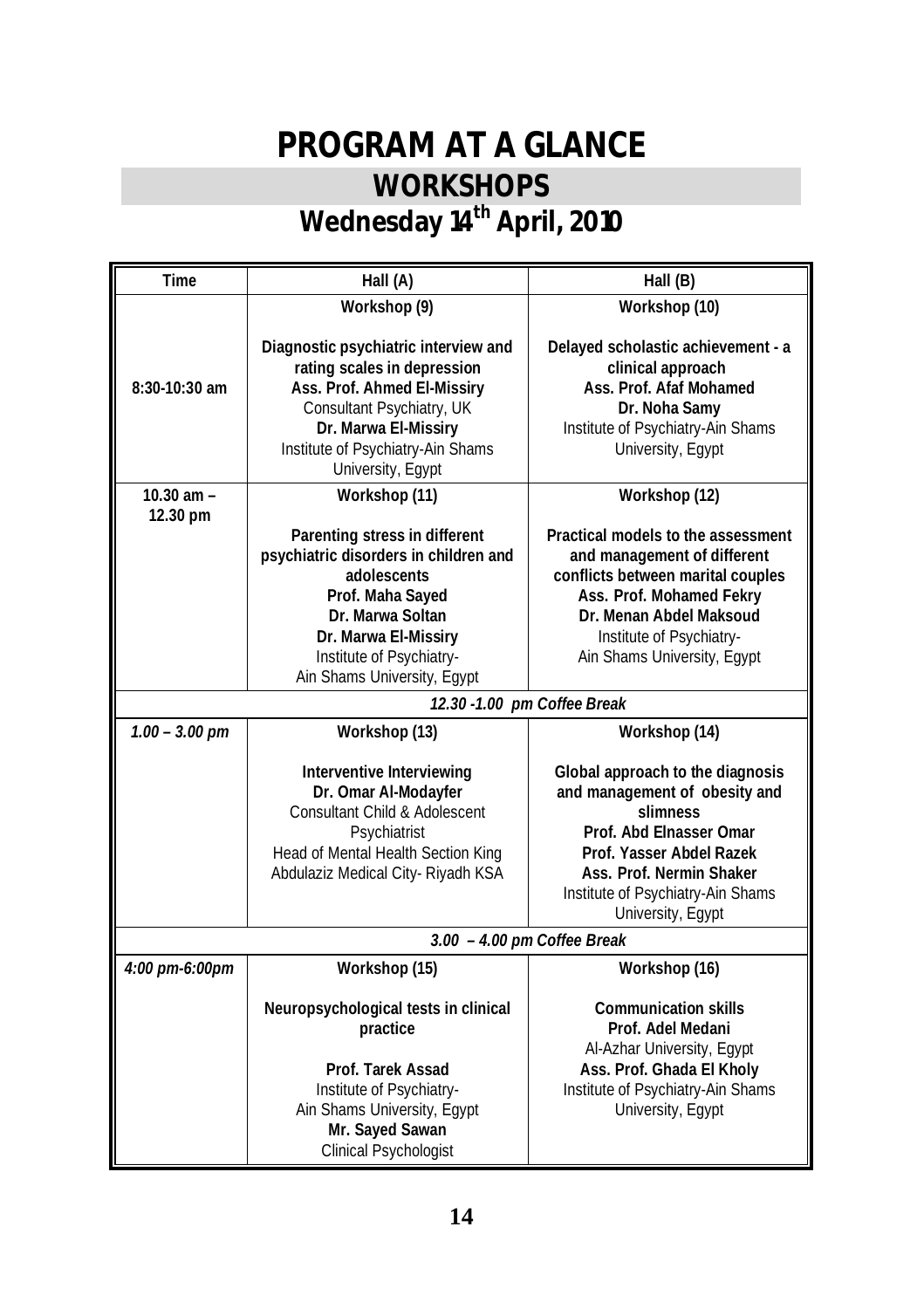## **PROGRAM AT A GLANCE WORKSHOPS Wednesday 14th April, 2010**

| Time             | Hall (A)                                                                                                                                                                                                          | Hall (B)                                                                                                                                                                                                                   |
|------------------|-------------------------------------------------------------------------------------------------------------------------------------------------------------------------------------------------------------------|----------------------------------------------------------------------------------------------------------------------------------------------------------------------------------------------------------------------------|
|                  | Workshop (9)                                                                                                                                                                                                      | Workshop (10)                                                                                                                                                                                                              |
| $8:30-10:30$ am  | Diagnostic psychiatric interview and<br>rating scales in depression<br>Ass. Prof. Ahmed El-Missiry<br>Consultant Psychiatry, UK<br>Dr. Marwa El-Missiry<br>Institute of Psychiatry-Ain Shams<br>University, Egypt | Delayed scholastic achievement - a<br>clinical approach<br>Ass. Prof. Afaf Mohamed<br>Dr. Noha Samy<br>Institute of Psychiatry-Ain Shams<br>University, Egypt                                                              |
| 10.30 am -       | Workshop (11)                                                                                                                                                                                                     | Workshop (12)                                                                                                                                                                                                              |
| 12.30 pm         | Parenting stress in different<br>psychiatric disorders in children and<br>adolescents<br>Prof. Maha Sayed<br>Dr. Marwa Soltan<br>Dr. Marwa El-Missiry<br>Institute of Psychiatry-<br>Ain Shams University, Egypt  | Practical models to the assessment<br>and management of different<br>conflicts between marital couples<br>Ass. Prof. Mohamed Fekry<br>Dr. Menan Abdel Maksoud<br>Institute of Psychiatry-<br>Ain Shams University, Egypt   |
|                  |                                                                                                                                                                                                                   | 12.30 - 1.00 pm Coffee Break                                                                                                                                                                                               |
| $1.00 - 3.00$ pm | Workshop (13)                                                                                                                                                                                                     | Workshop (14)                                                                                                                                                                                                              |
|                  | Interventive Interviewing<br>Dr. Omar Al-Modayfer<br><b>Consultant Child &amp; Adolescent</b><br>Psychiatrist<br>Head of Mental Health Section King<br>Abdulaziz Medical City-Riyadh KSA                          | Global approach to the diagnosis<br>and management of obesity and<br>slimness<br>Prof. Abd Elnasser Omar<br>Prof. Yasser Abdel Razek<br>Ass. Prof. Nermin Shaker<br>Institute of Psychiatry-Ain Shams<br>University, Egypt |
|                  | 3.00 - 4.00 pm Coffee Break                                                                                                                                                                                       |                                                                                                                                                                                                                            |
| 4:00 pm-6:00pm   | Workshop (15)                                                                                                                                                                                                     | Workshop (16)                                                                                                                                                                                                              |
|                  | Neuropsychological tests in clinical<br>practice<br>Prof. Tarek Assad<br>Institute of Psychiatry-<br>Ain Shams University, Egypt<br>Mr. Sayed Sawan<br><b>Clinical Psychologist</b>                               | <b>Communication skills</b><br>Prof. Adel Medani<br>Al-Azhar University, Egypt<br>Ass. Prof. Ghada El Kholy<br>Institute of Psychiatry-Ain Shams<br>University, Egypt                                                      |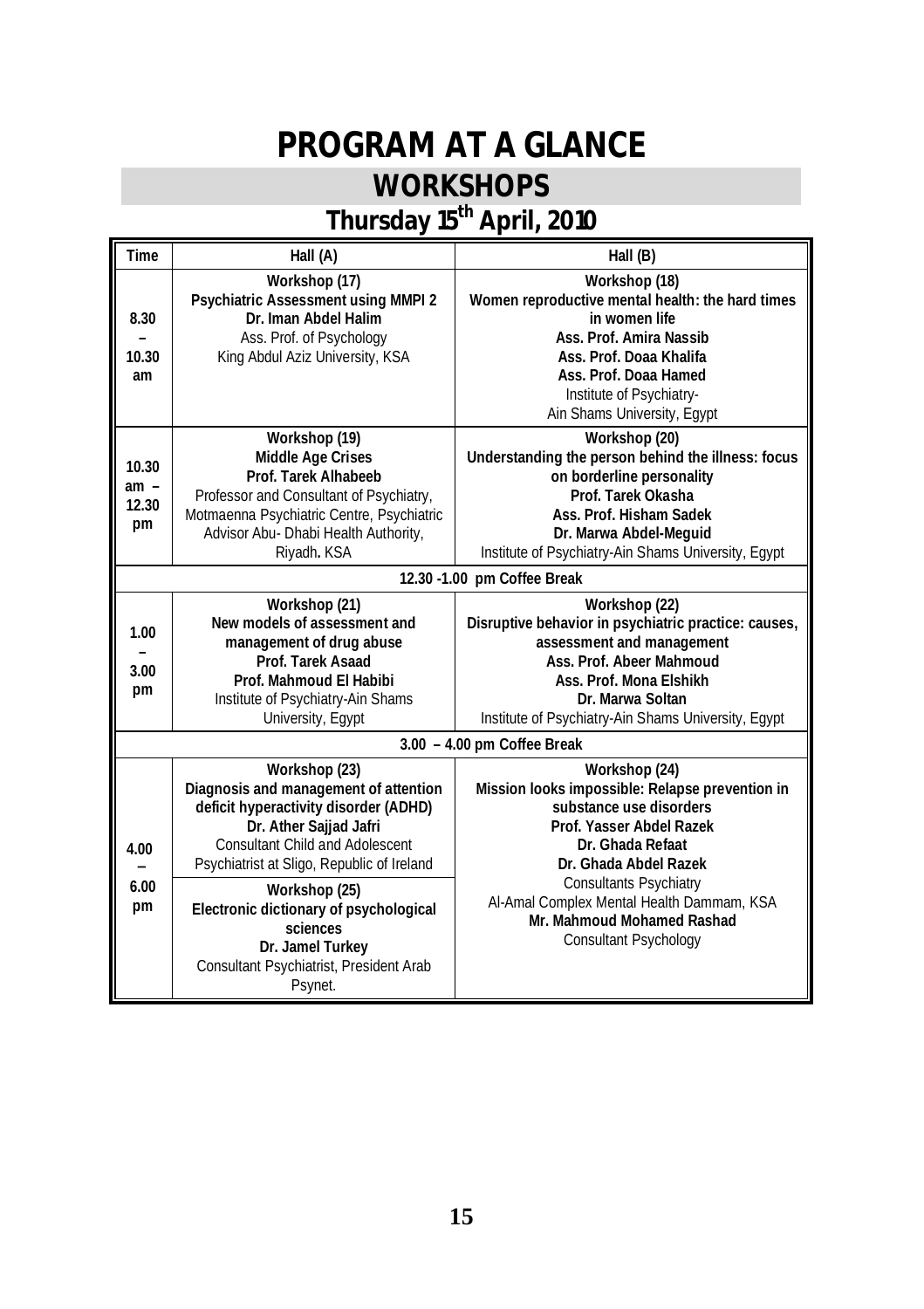# **PROGRAM AT A GLANCE**

# **WORKSHOPS**

## **Thursday 15th April, 2010**

| Time                           | Hall (A)                                                                                                                                                                                                                                                                                                                                                           | Hall (B)                                                                                                                                                                                                                                                                                                         |
|--------------------------------|--------------------------------------------------------------------------------------------------------------------------------------------------------------------------------------------------------------------------------------------------------------------------------------------------------------------------------------------------------------------|------------------------------------------------------------------------------------------------------------------------------------------------------------------------------------------------------------------------------------------------------------------------------------------------------------------|
| 8.30<br>10.30<br>am            | Workshop (17)<br>Psychiatric Assessment using MMPI 2<br>Dr. Iman Abdel Halim<br>Ass. Prof. of Psychology<br>King Abdul Aziz University, KSA                                                                                                                                                                                                                        | Workshop (18)<br>Women reproductive mental health: the hard times<br>in women life<br>Ass. Prof. Amira Nassib<br>Ass. Prof. Doaa Khalifa<br>Ass. Prof. Doaa Hamed<br>Institute of Psychiatry-<br>Ain Shams University, Egypt                                                                                     |
| 10.30<br>$am -$<br>12.30<br>pm | Workshop (19)<br>Middle Age Crises<br>Prof. Tarek Alhabeeb<br>Professor and Consultant of Psychiatry,<br>Motmaenna Psychiatric Centre, Psychiatric<br>Advisor Abu- Dhabi Health Authority,<br>Riyadh. KSA                                                                                                                                                          | Workshop (20)<br>Understanding the person behind the illness: focus<br>on borderline personality<br>Prof. Tarek Okasha<br>Ass. Prof. Hisham Sadek<br>Dr. Marwa Abdel-Meguid<br>Institute of Psychiatry-Ain Shams University, Egypt                                                                               |
|                                |                                                                                                                                                                                                                                                                                                                                                                    | 12.30 -1.00 pm Coffee Break                                                                                                                                                                                                                                                                                      |
| 1.00<br>3.00<br>pm             | Workshop (21)<br>New models of assessment and<br>management of drug abuse<br>Prof. Tarek Asaad<br>Prof. Mahmoud El Habibi<br>Institute of Psychiatry-Ain Shams<br>University, Egypt                                                                                                                                                                                | Workshop (22)<br>Disruptive behavior in psychiatric practice: causes,<br>assessment and management<br>Ass. Prof. Abeer Mahmoud<br>Ass. Prof. Mona Elshikh<br>Dr. Marwa Soltan<br>Institute of Psychiatry-Ain Shams University, Egypt                                                                             |
|                                |                                                                                                                                                                                                                                                                                                                                                                    | $3.00 - 4.00$ pm Coffee Break                                                                                                                                                                                                                                                                                    |
| 4.00<br>6.00<br>pm             | Workshop (23)<br>Diagnosis and management of attention<br>deficit hyperactivity disorder (ADHD)<br>Dr. Ather Sajjad Jafri<br><b>Consultant Child and Adolescent</b><br>Psychiatrist at Sligo, Republic of Ireland<br>Workshop (25)<br>Electronic dictionary of psychological<br>sciences<br>Dr. Jamel Turkey<br>Consultant Psychiatrist, President Arab<br>Psynet. | Workshop (24)<br>Mission looks impossible: Relapse prevention in<br>substance use disorders<br>Prof. Yasser Abdel Razek<br>Dr. Ghada Refaat<br>Dr. Ghada Abdel Razek<br><b>Consultants Psychiatry</b><br>Al-Amal Complex Mental Health Dammam, KSA<br>Mr. Mahmoud Mohamed Rashad<br><b>Consultant Psychology</b> |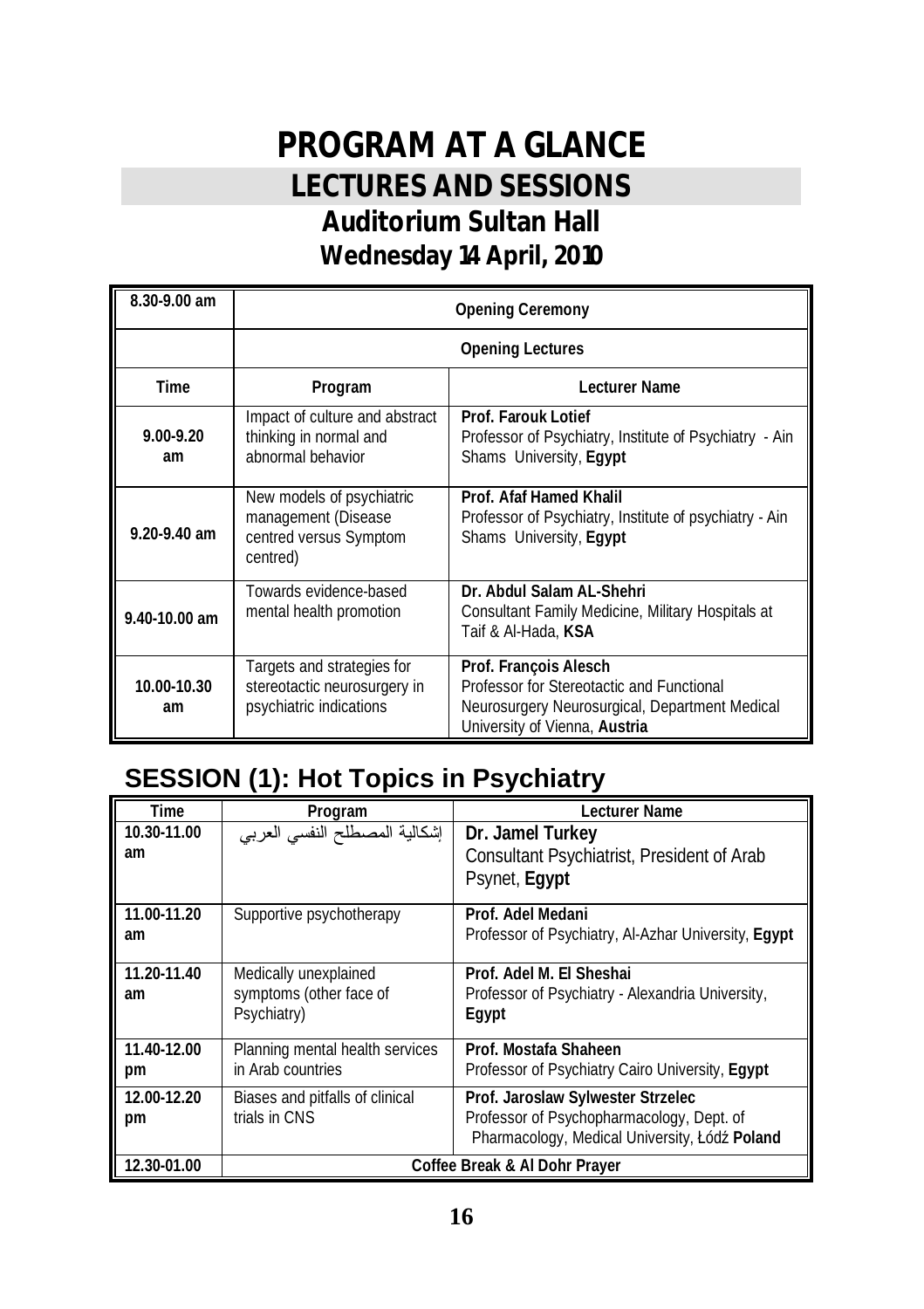## **PROGRAM AT A GLANCE LECTURES AND SESSIONS Auditorium Sultan Hall Wednesday 14 April, 2010**

| 8.30-9.00 am        | <b>Opening Ceremony</b>                                                                |                                                                                                                                                       |
|---------------------|----------------------------------------------------------------------------------------|-------------------------------------------------------------------------------------------------------------------------------------------------------|
|                     |                                                                                        | <b>Opening Lectures</b>                                                                                                                               |
| Time                | Program                                                                                | Lecturer Name                                                                                                                                         |
| $9.00 - 9.20$<br>am | Impact of culture and abstract<br>thinking in normal and<br>abnormal behavior          | Prof. Farouk Lotief<br>Professor of Psychiatry, Institute of Psychiatry - Ain<br>Shams University, Eqypt                                              |
| 9.20-9.40 am        | New models of psychiatric<br>management (Disease<br>centred versus Symptom<br>centred) | Prof. Afaf Hamed Khalil<br>Professor of Psychiatry, Institute of psychiatry - Ain<br>Shams University, Eqypt                                          |
| 9.40-10.00 am       | Towards evidence-based<br>mental health promotion                                      | Dr. Abdul Salam AL-Shehri<br>Consultant Family Medicine, Military Hospitals at<br>Taif & Al-Hada, KSA                                                 |
| 10.00-10.30<br>am   | Targets and strategies for<br>stereotactic neurosurgery in<br>psychiatric indications  | Prof. Francois Alesch<br>Professor for Stereotactic and Functional<br>Neurosurgery Neurosurgical, Department Medical<br>University of Vienna, Austria |

### **SESSION (1): Hot Topics in Psychiatry**

| Time              | Program                                                         | Lecturer Name                                                                                                                   |
|-------------------|-----------------------------------------------------------------|---------------------------------------------------------------------------------------------------------------------------------|
| 10.30-11.00<br>am | إشكالية المصطلح النفسي العربي                                   | Dr. Jamel Turkey<br>Consultant Psychiatrist, President of Arab<br>Psynet, Egypt                                                 |
| 11.00-11.20<br>am | Supportive psychotherapy                                        | Prof. Adel Medani<br>Professor of Psychiatry, Al-Azhar University, Egypt                                                        |
| 11.20-11.40<br>am | Medically unexplained<br>symptoms (other face of<br>Psychiatry) | Prof. Adel M. El Sheshai<br>Professor of Psychiatry - Alexandria University,<br>Eqypt                                           |
| 11.40-12.00<br>pm | Planning mental health services<br>in Arab countries            | Prof. Mostafa Shaheen<br>Professor of Psychiatry Cairo University, Eqypt                                                        |
| 12.00-12.20<br>pm | Biases and pitfalls of clinical<br>trials in CNS                | Prof. Jaroslaw Sylwester Strzelec<br>Professor of Psychopharmacology, Dept. of<br>Pharmacology, Medical University, Łódź Poland |
| 12.30-01.00       |                                                                 | Coffee Break & Al Dohr Prayer                                                                                                   |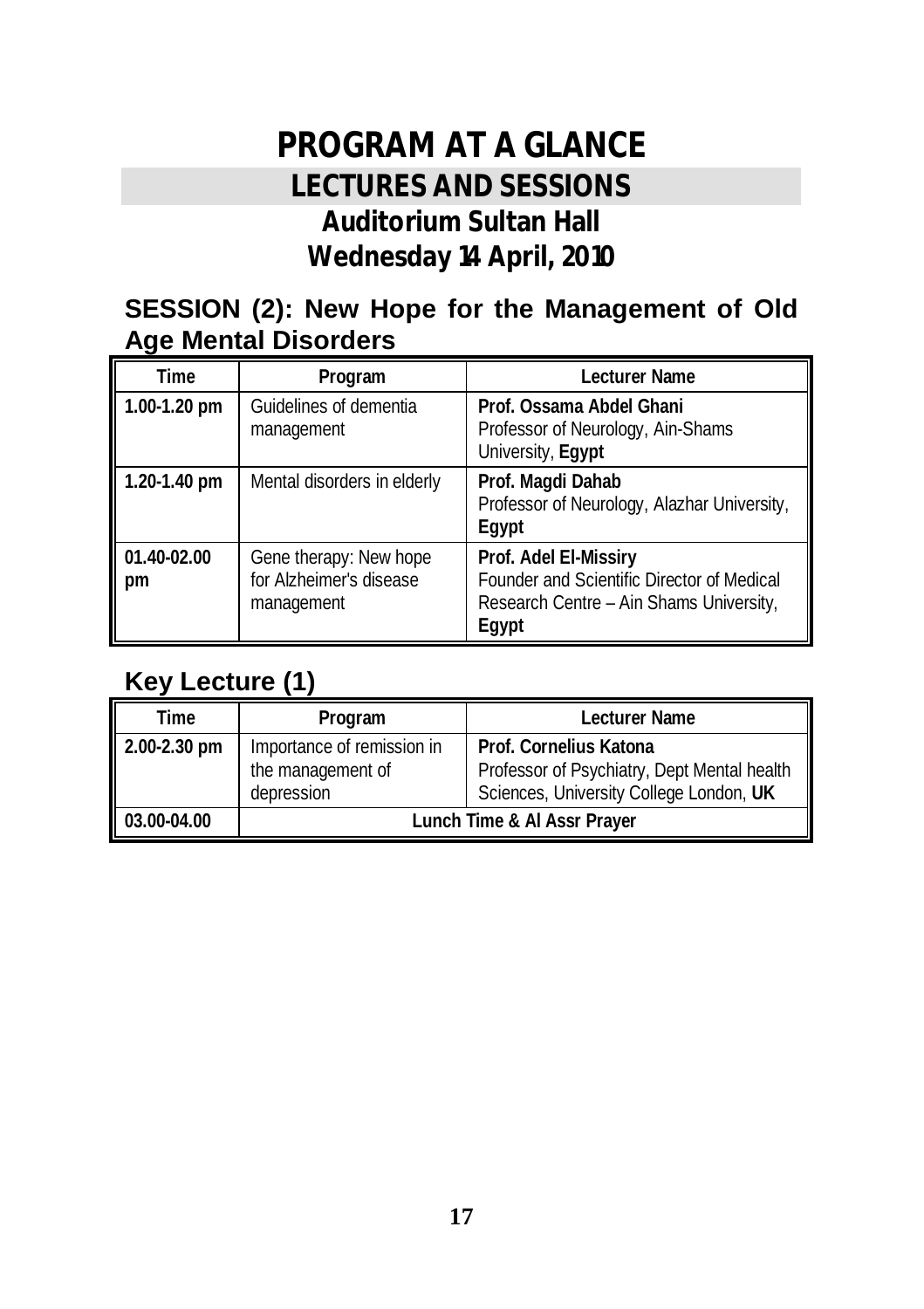## **PROGRAM AT A GLANCE LECTURES AND SESSIONS Auditorium Sultan Hall Wednesday 14 April, 2010**

#### **SESSION (2): New Hope for the Management of Old Age Mental Disorders**

| Time              | Program                                                         | Lecturer Name                                                                                                           |
|-------------------|-----------------------------------------------------------------|-------------------------------------------------------------------------------------------------------------------------|
| 1.00-1.20 pm      | Guidelines of dementia<br>management                            | Prof. Ossama Abdel Ghani<br>Professor of Neurology, Ain-Shams<br>University, Egypt                                      |
| 1.20-1.40 pm      | Mental disorders in elderly                                     | Prof. Magdi Dahab<br>Professor of Neurology, Alazhar University,<br>Eqypt                                               |
| 01.40-02.00<br>pm | Gene therapy: New hope<br>for Alzheimer's disease<br>management | Prof. Adel El-Missiry<br>Founder and Scientific Director of Medical<br>Research Centre - Ain Shams University,<br>Eqypt |

#### **Key Lecture (1)**

| Time         | Program                                                       | Lecturer Name                                                                                                    |
|--------------|---------------------------------------------------------------|------------------------------------------------------------------------------------------------------------------|
| 2.00-2.30 pm | Importance of remission in<br>the management of<br>depression | Prof. Cornelius Katona<br>Professor of Psychiatry, Dept Mental health<br>Sciences, University College London, UK |
| 03.00-04.00  | Lunch Time & Al Assr Prayer                                   |                                                                                                                  |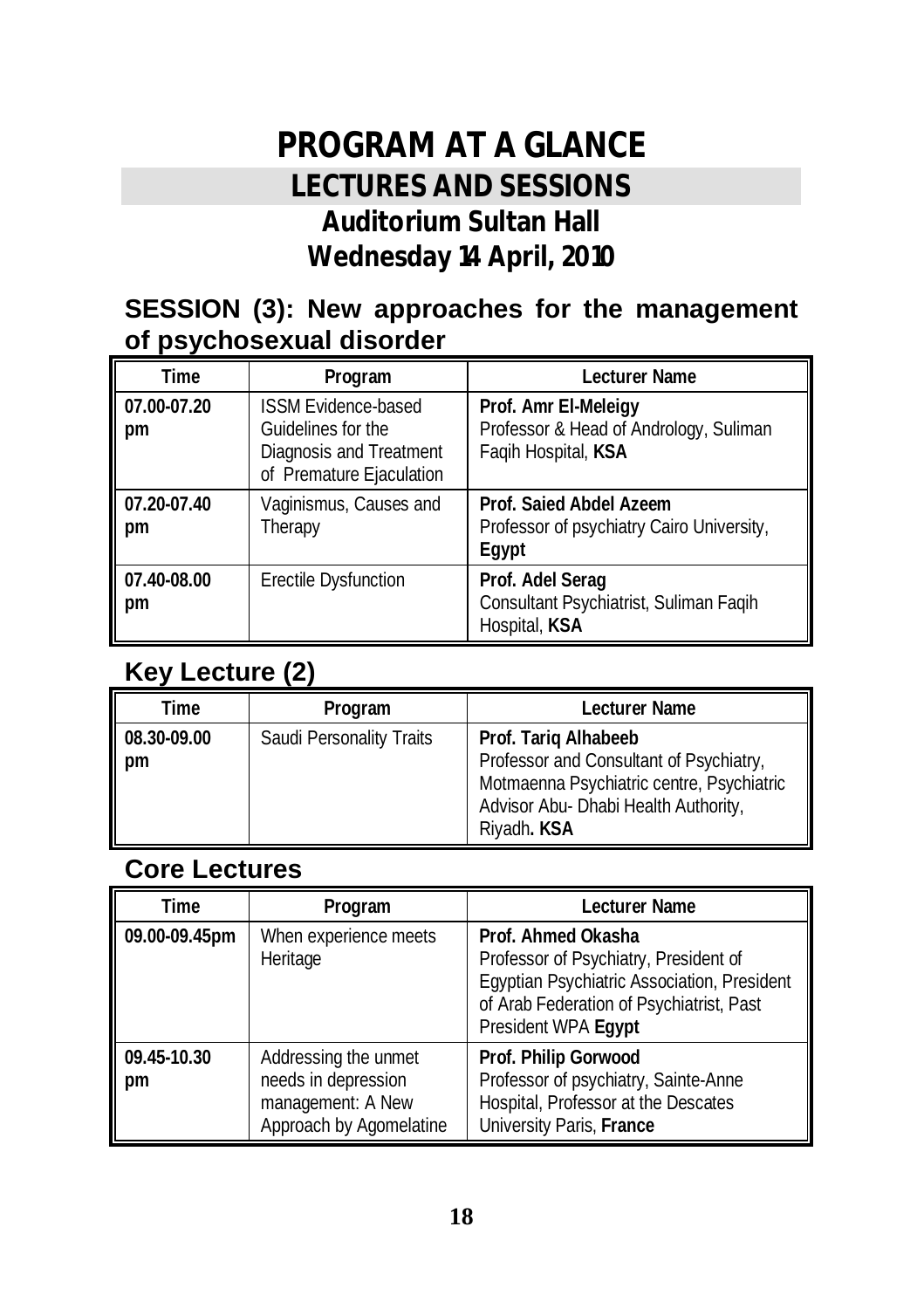## **PROGRAM AT A GLANCE LECTURES AND SESSIONS Auditorium Sultan Hall Wednesday 14 April, 2010**

#### **SESSION (3): New approaches for the management of psychosexual disorder**

| Time              | Program                                                                                                 | Lecturer Name                                                                         |
|-------------------|---------------------------------------------------------------------------------------------------------|---------------------------------------------------------------------------------------|
| 07.00-07.20<br>pm | <b>ISSM Evidence-based</b><br>Guidelines for the<br>Diagnosis and Treatment<br>of Premature Ejaculation | Prof. Amr El-Meleigy<br>Professor & Head of Andrology, Suliman<br>Faqih Hospital, KSA |
| 07.20-07.40<br>pm | Vaginismus, Causes and<br>Therapy                                                                       | Prof. Saied Abdel Azeem<br>Professor of psychiatry Cairo University,<br>Egypt         |
| 07.40-08.00<br>pm | <b>Erectile Dysfunction</b>                                                                             | Prof. Adel Serag<br>Consultant Psychiatrist, Suliman Faqih<br>Hospital, KSA           |

#### **Key Lecture (2)**

| Time              | Program                  | Lecturer Name                                                                                                                                                       |
|-------------------|--------------------------|---------------------------------------------------------------------------------------------------------------------------------------------------------------------|
| 08.30-09.00<br>pm | Saudi Personality Traits | Prof. Tarig Alhabeeb<br>Professor and Consultant of Psychiatry,<br>Motmaenna Psychiatric centre, Psychiatric<br>Advisor Abu- Dhabi Health Authority,<br>Riyadh. KSA |

#### **Core Lectures**

| Time              | Program                                                                                     | Lecturer Name                                                                                                                                                                 |
|-------------------|---------------------------------------------------------------------------------------------|-------------------------------------------------------------------------------------------------------------------------------------------------------------------------------|
| 09.00-09.45pm     | When experience meets<br>Heritage                                                           | Prof. Ahmed Okasha<br>Professor of Psychiatry, President of<br>Egyptian Psychiatric Association, President<br>of Arab Federation of Psychiatrist, Past<br>President WPA Egypt |
| 09.45-10.30<br>pm | Addressing the unmet<br>needs in depression<br>management: A New<br>Approach by Agomelatine | Prof. Philip Gorwood<br>Professor of psychiatry, Sainte-Anne<br>Hospital, Professor at the Descates<br>University Paris, France                                               |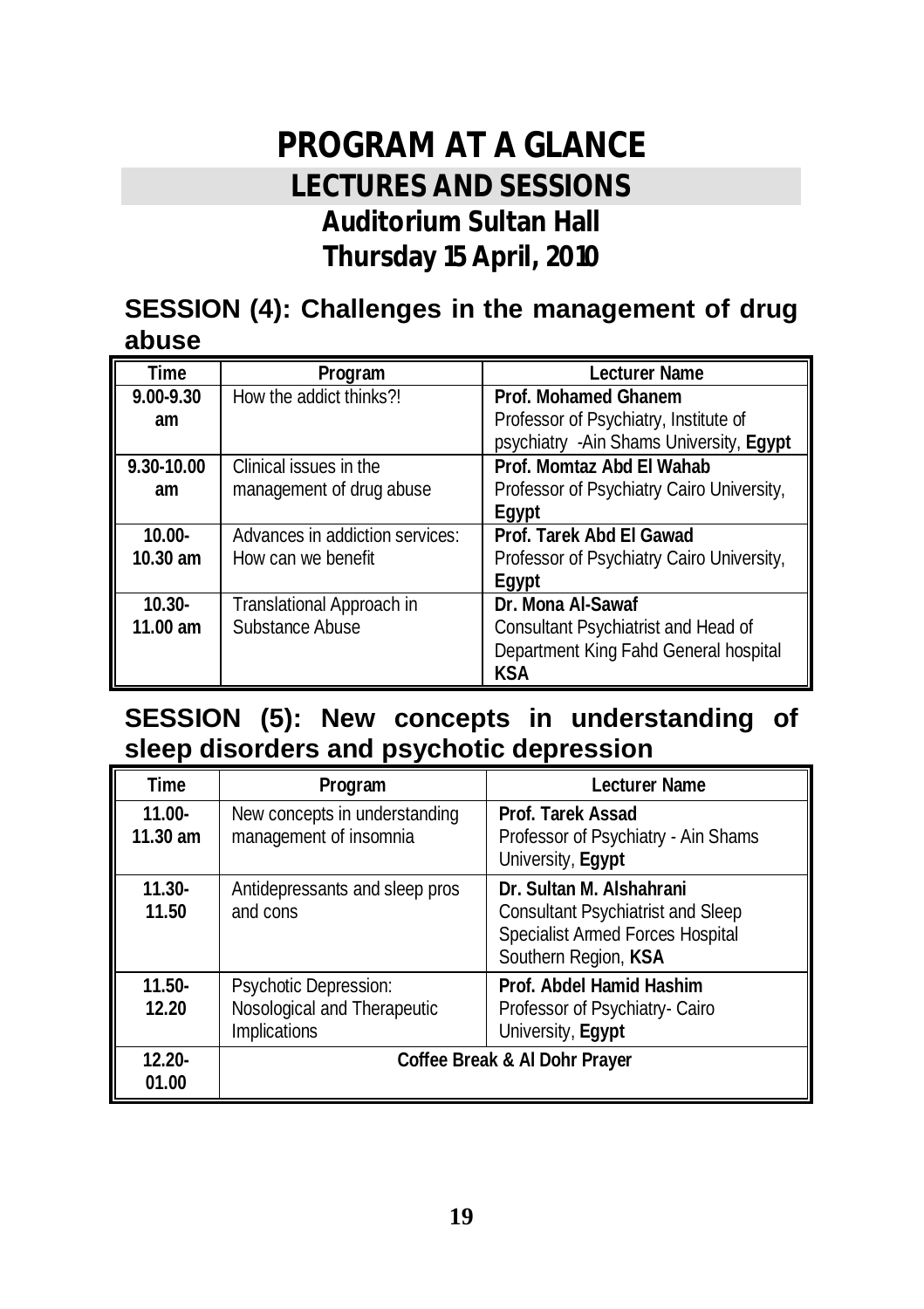## **PROGRAM AT A GLANCE LECTURES AND SESSIONS Auditorium Sultan Hall Thursday 15 April, 2010**

#### **SESSION (4): Challenges in the management of drug abuse**

| Time          | Program                         | Lecturer Name                             |
|---------------|---------------------------------|-------------------------------------------|
| $9.00 - 9.30$ | How the addict thinks?!         | Prof. Mohamed Ghanem                      |
| am            |                                 | Professor of Psychiatry, Institute of     |
|               |                                 | psychiatry - Ain Shams University, Eqypt  |
| 9.30-10.00    | Clinical issues in the          | Prof. Momtaz Abd FI Wahab                 |
| am            | management of drug abuse        | Professor of Psychiatry Cairo University, |
|               |                                 | Eavpt                                     |
| $10.00 -$     | Advances in addiction services: | Prof. Tarek Abd El Gawad                  |
| $10.30$ am    | How can we benefit              | Professor of Psychiatry Cairo University, |
|               |                                 | Eavpt                                     |
| $10.30 -$     | Translational Approach in       | Dr. Mona Al-Sawaf                         |
| $11.00$ am    | Substance Abuse                 | Consultant Psychiatrist and Head of       |
|               |                                 | Department King Fahd General hospital     |
|               |                                 | KSA                                       |

#### **SESSION (5): New concepts in understanding of sleep disorders and psychotic depression**

| Time                    | Program                                                              | Lecturer Name                                                                                                                    |
|-------------------------|----------------------------------------------------------------------|----------------------------------------------------------------------------------------------------------------------------------|
| $11.00 -$<br>$11.30$ am | New concepts in understanding<br>management of insomnia              | Prof. Tarek Assad<br>Professor of Psychiatry - Ain Shams<br>University, Egypt                                                    |
| $11.30 -$<br>11.50      | Antidepressants and sleep pros<br>and cons                           | Dr. Sultan M. Alshahrani<br><b>Consultant Psychiatrist and Sleep</b><br>Specialist Armed Forces Hospital<br>Southern Region, KSA |
| $11.50-$<br>12.20       | Psychotic Depression:<br>Nosological and Therapeutic<br>Implications | Prof. Abdel Hamid Hashim<br>Professor of Psychiatry- Cairo<br>University, Egypt                                                  |
| $12.20 -$<br>01.00      |                                                                      | Coffee Break & Al Dohr Prayer                                                                                                    |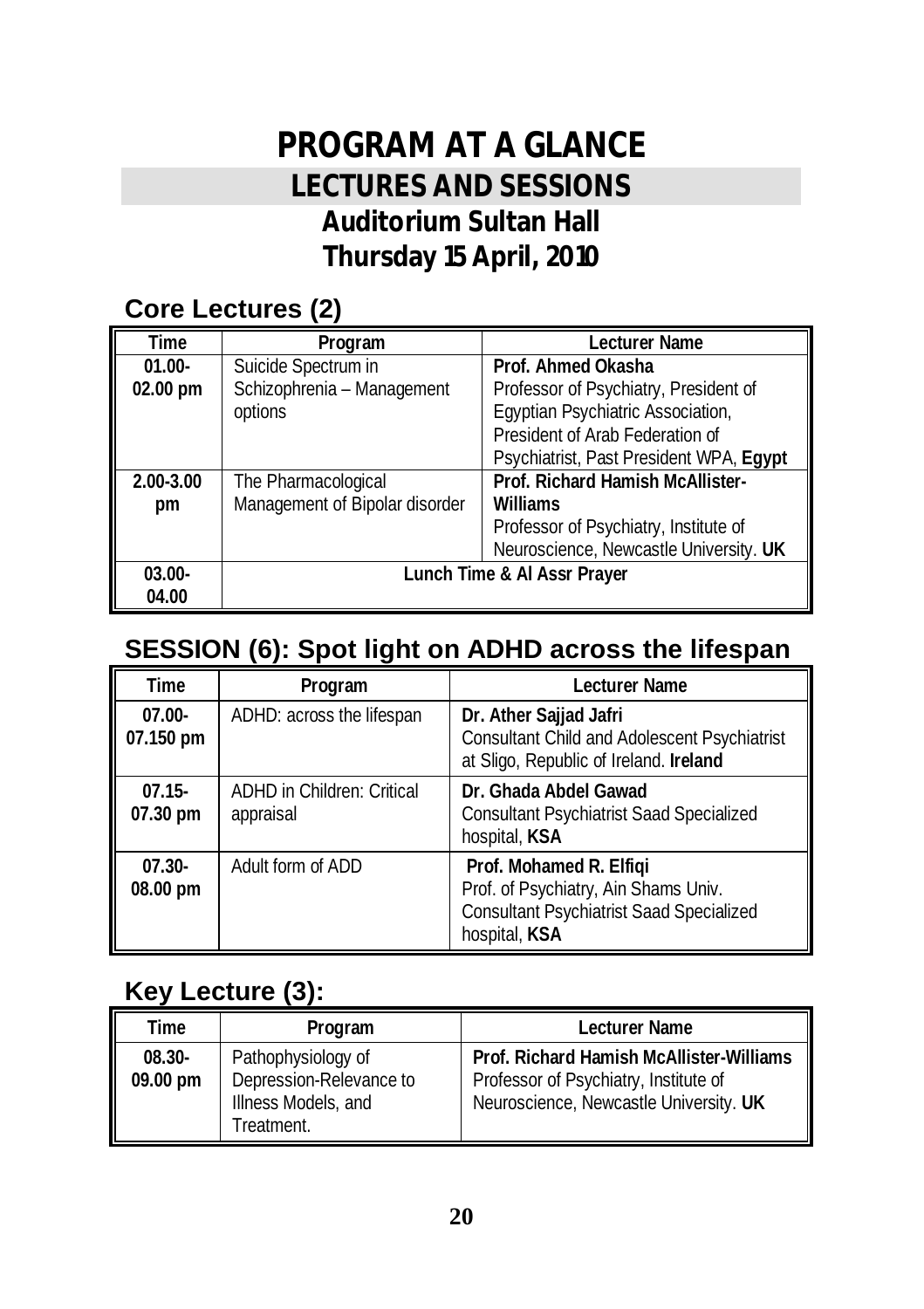## **PROGRAM AT A GLANCE LECTURES AND SESSIONS Auditorium Sultan Hall Thursday 15 April, 2010**

#### **Core Lectures (2)**

| Time      | Program                        | <b>Lecturer Name</b>                    |
|-----------|--------------------------------|-----------------------------------------|
| $01.00 -$ | Suicide Spectrum in            | Prof. Ahmed Okasha                      |
| 02.00 pm  | Schizophrenia - Management     | Professor of Psychiatry, President of   |
|           | options                        | Egyptian Psychiatric Association,       |
|           |                                | President of Arab Federation of         |
|           |                                | Psychiatrist, Past President WPA, Egypt |
| 2.00-3.00 | The Pharmacological            | Prof. Richard Hamish McAllister-        |
| pm        | Management of Bipolar disorder | Williams                                |
|           |                                | Professor of Psychiatry, Institute of   |
|           |                                | Neuroscience, Newcastle University. UK  |
| $03.00 -$ |                                | Lunch Time & Al Assr Prayer             |
| 04.00     |                                |                                         |

### **SESSION (6): Spot light on ADHD across the lifespan**

| Time                   | Program                                        | Lecturer Name                                                                                                                       |
|------------------------|------------------------------------------------|-------------------------------------------------------------------------------------------------------------------------------------|
| $07.00 -$<br>07.150 pm | ADHD: across the lifespan                      | Dr. Ather Sajjad Jafri<br><b>Consultant Child and Adolescent Psychiatrist</b><br>at Sligo, Republic of Ireland. Ireland             |
| $07.15 -$<br>07.30 pm  | <b>ADHD in Children: Critical</b><br>appraisal | Dr. Ghada Abdel Gawad<br><b>Consultant Psychiatrist Saad Specialized</b><br>hospital, KSA                                           |
| $07.30 -$<br>08.00 pm  | Adult form of ADD                              | Prof. Mohamed R. Elfigi<br>Prof. of Psychiatry, Ain Shams Univ.<br><b>Consultant Psychiatrist Saad Specialized</b><br>hospital, KSA |

#### **Key Lecture (3):**

| Time                  | Program                                                                            | Lecturer Name                                                                                                               |
|-----------------------|------------------------------------------------------------------------------------|-----------------------------------------------------------------------------------------------------------------------------|
| $08.30 -$<br>09.00 pm | Pathophysiology of<br>Depression-Relevance to<br>Illness Models, and<br>Treatment. | Prof. Richard Hamish McAllister-Williams<br>Professor of Psychiatry, Institute of<br>Neuroscience, Newcastle University. UK |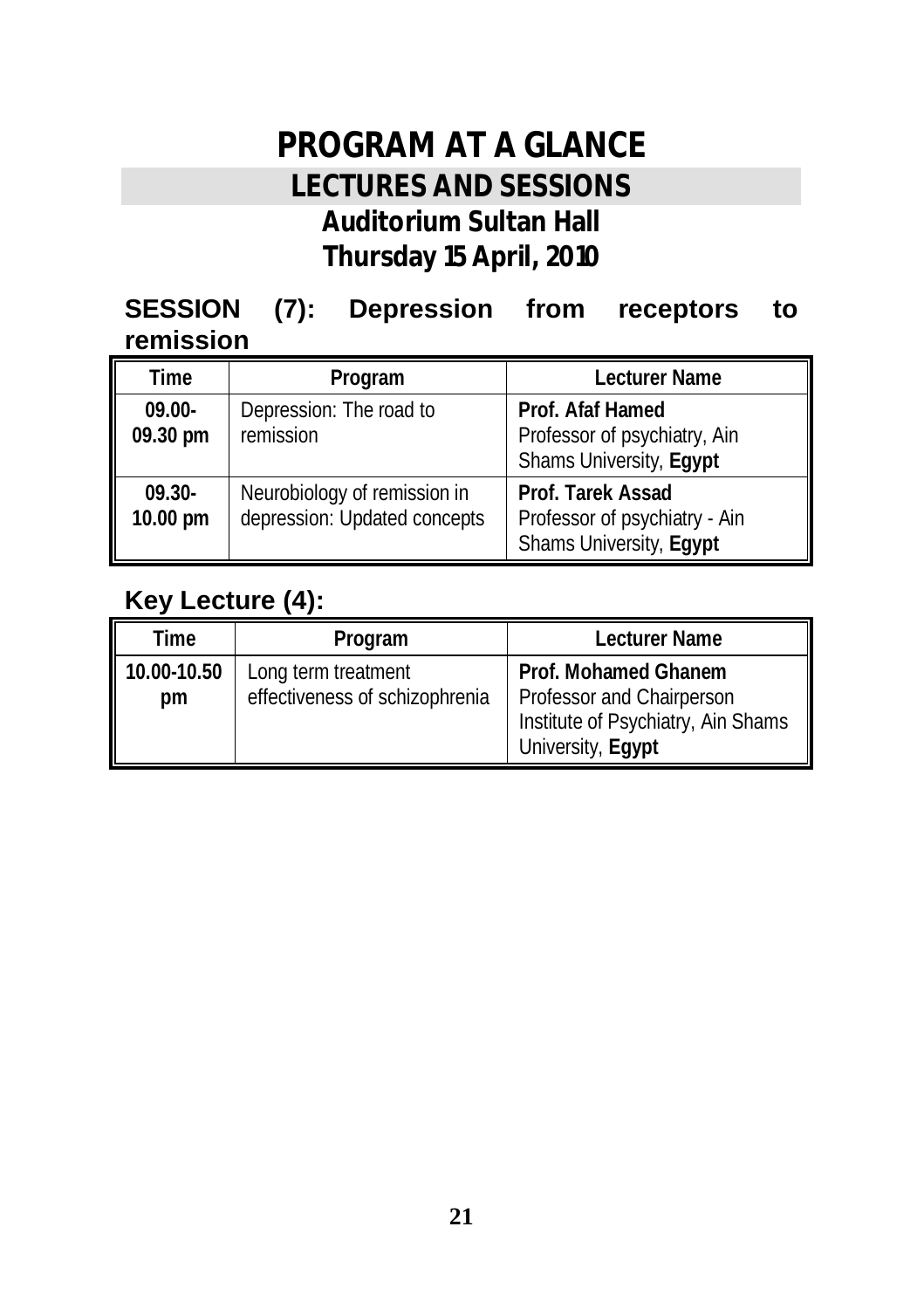## **PROGRAM AT A GLANCE LECTURES AND SESSIONS Auditorium Sultan Hall Thursday 15 April, 2010**

#### **SESSION (7): Depression from receptors to remission**

| Time                  | Program                                                      | Lecturer Name                                                                 |
|-----------------------|--------------------------------------------------------------|-------------------------------------------------------------------------------|
| $09.00 -$<br>09.30 pm | Depression: The road to<br>remission                         | Prof. Afaf Hamed<br>Professor of psychiatry, Ain<br>Shams University, Egypt   |
| $09.30 -$<br>10.00 pm | Neurobiology of remission in<br>depression: Updated concepts | Prof. Tarek Assad<br>Professor of psychiatry - Ain<br>Shams University, Egypt |

#### **Key Lecture (4):**

| Time              | Program                                               | Lecturer Name                                                                                                |
|-------------------|-------------------------------------------------------|--------------------------------------------------------------------------------------------------------------|
| 10.00-10.50<br>pm | Long term treatment<br>effectiveness of schizophrenia | Prof. Mohamed Ghanem<br>Professor and Chairperson<br>Institute of Psychiatry, Ain Shams<br>University, Egypt |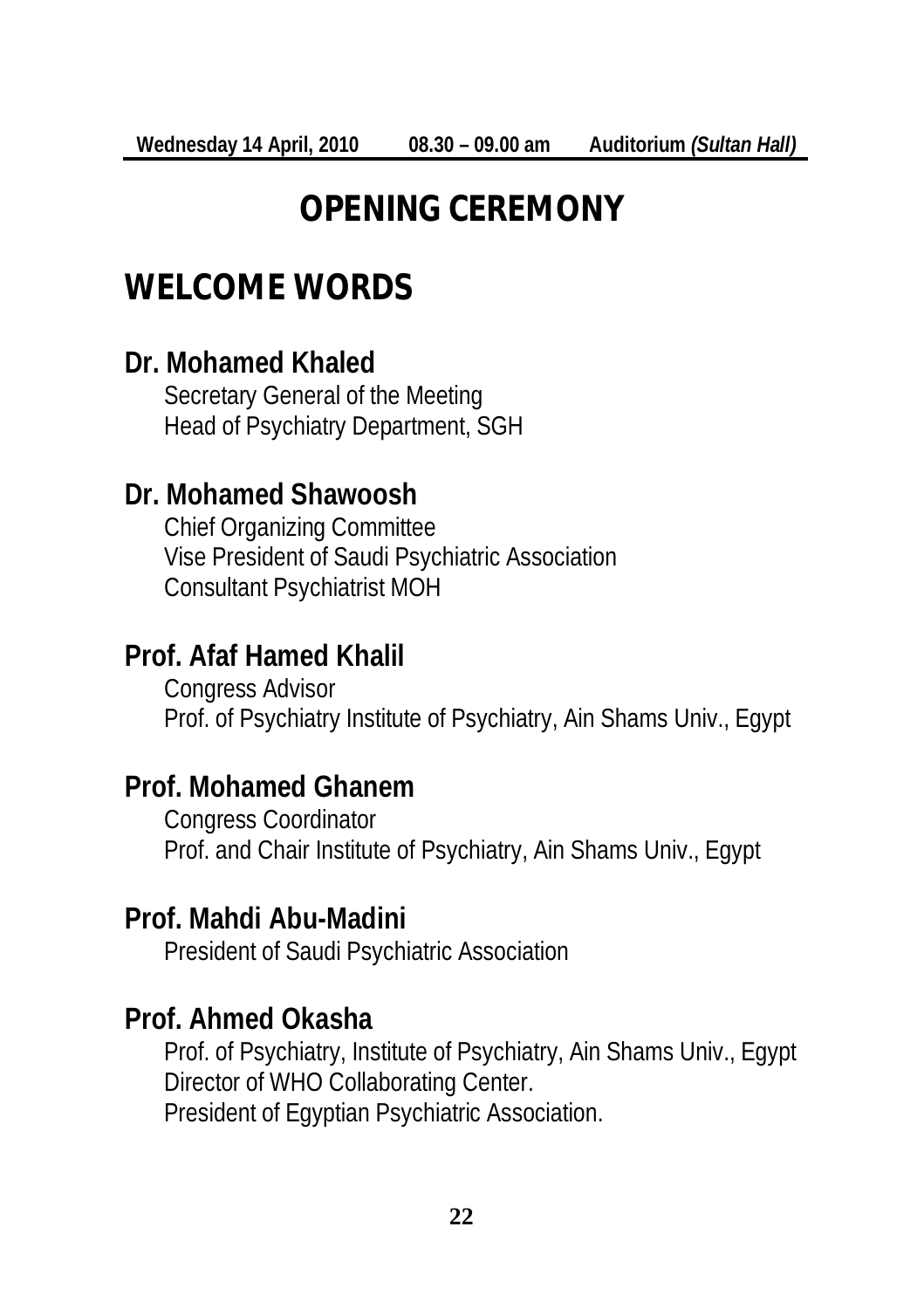## **OPENING CEREMONY**

## **WELCOME WORDS**

#### **Dr. Mohamed Khaled**

Secretary General of the Meeting Head of Psychiatry Department, SGH

#### **Dr. Mohamed Shawoosh**

Chief Organizing Committee Vise President of Saudi Psychiatric Association Consultant Psychiatrist MOH

#### **Prof. Afaf Hamed Khalil**

Congress Advisor Prof. of Psychiatry Institute of Psychiatry, Ain Shams Univ., Egypt

#### **Prof. Mohamed Ghanem**

Congress Coordinator Prof. and Chair Institute of Psychiatry, Ain Shams Univ., Egypt

#### **Prof. Mahdi Abu-Madini**

President of Saudi Psychiatric Association

#### **Prof. Ahmed Okasha**

Prof. of Psychiatry, Institute of Psychiatry, Ain Shams Univ., Egypt Director of WHO Collaborating Center. President of Egyptian Psychiatric Association.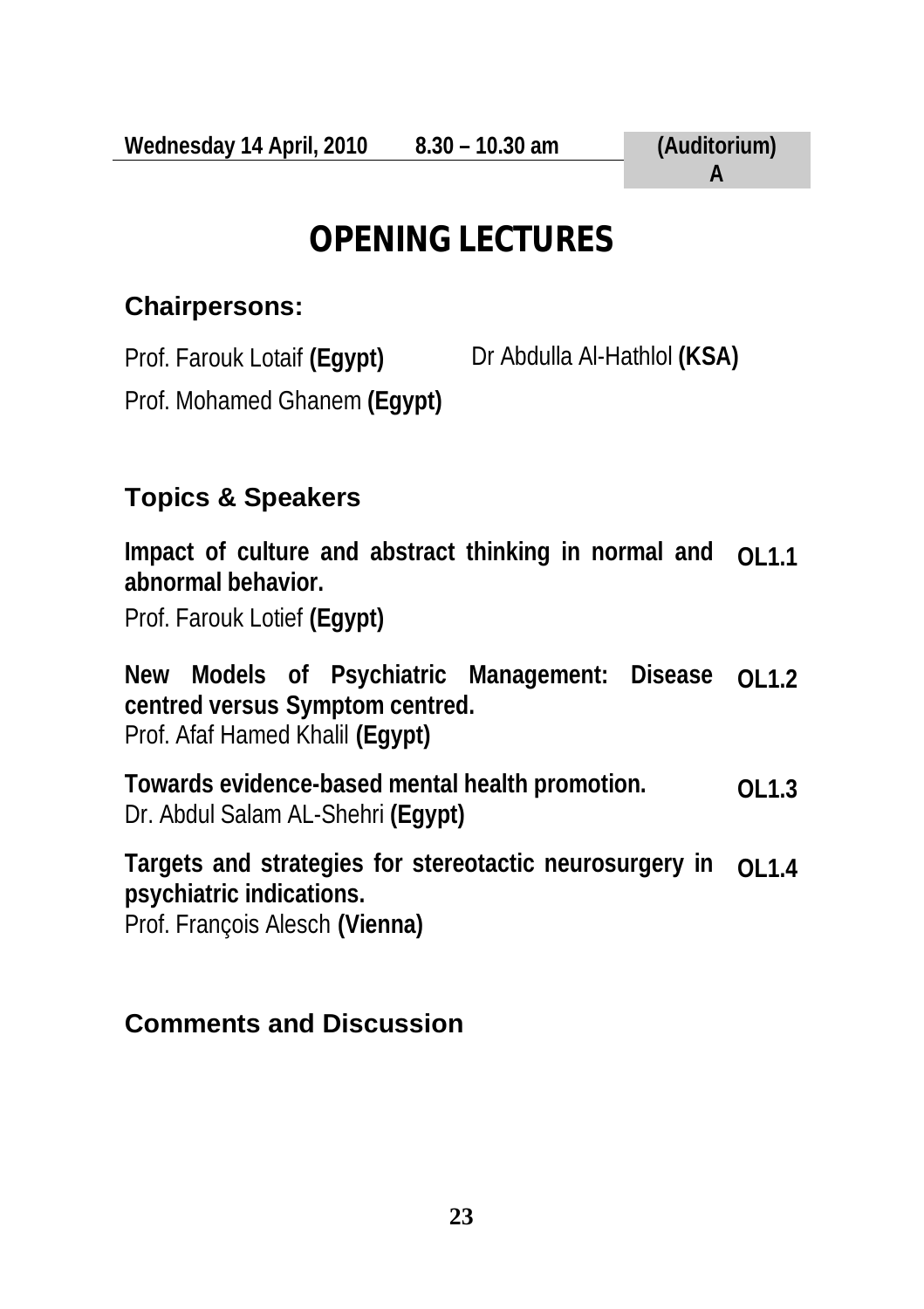## **OPENING LECTURES**

#### **Chairpersons:**

Prof. Farouk Lotaif **(Egypt)** Dr Abdulla Al-Hathlol **(KSA)** 

Prof. Mohamed Ghanem **(Egypt)**

#### **Topics & Speakers**

**Impact of culture and abstract thinking in normal and abnormal behavior. OL1.1** 

Prof. Farouk Lotief **(Egypt)**

**New Models of Psychiatric Management: Disease centred versus Symptom centred.** Prof. Afaf Hamed Khalil **(Egypt) OL1.2** 

**Towards evidence-based mental health promotion.** Dr. Abdul Salam AL-Shehri **(Egypt) OL1.3** 

**Targets and strategies for stereotactic neurosurgery in psychiatric indications.**  Prof. François Alesch **(Vienna) OL1.4**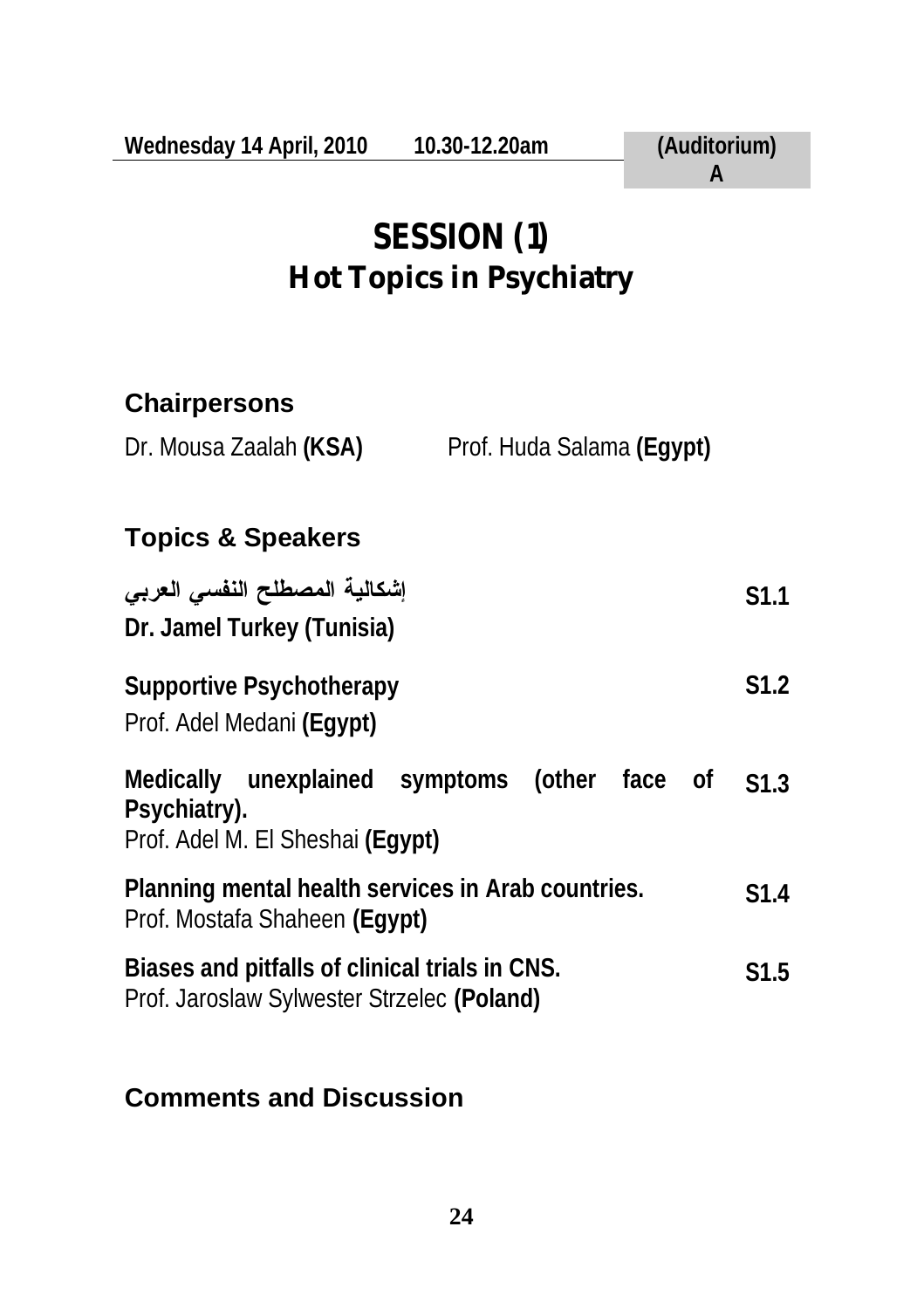## **SESSION (1) Hot Topics in Psychiatry**

#### **Chairpersons**

| Prof. Huda Salama (Egypt) |
|---------------------------|
|                           |

### **Topics & Speakers**

| إشكالية المصطلح النفسى العربى<br>Dr. Jamel Turkey (Tunisia)                                       | S1.1 |
|---------------------------------------------------------------------------------------------------|------|
| Supportive Psychotherapy<br>Prof. Adel Medani (Egypt)                                             | S1.2 |
| Medically unexplained symptoms (other face of<br>Psychiatry).<br>Prof. Adel M. El Sheshai (Egypt) | S1.3 |
| Planning mental health services in Arab countries.<br>Prof. Mostafa Shaheen (Eqypt)               | S1.4 |
| Biases and pitfalls of clinical trials in CNS.<br>Prof. Jaroslaw Sylwester Strzelec (Poland)      | S1.5 |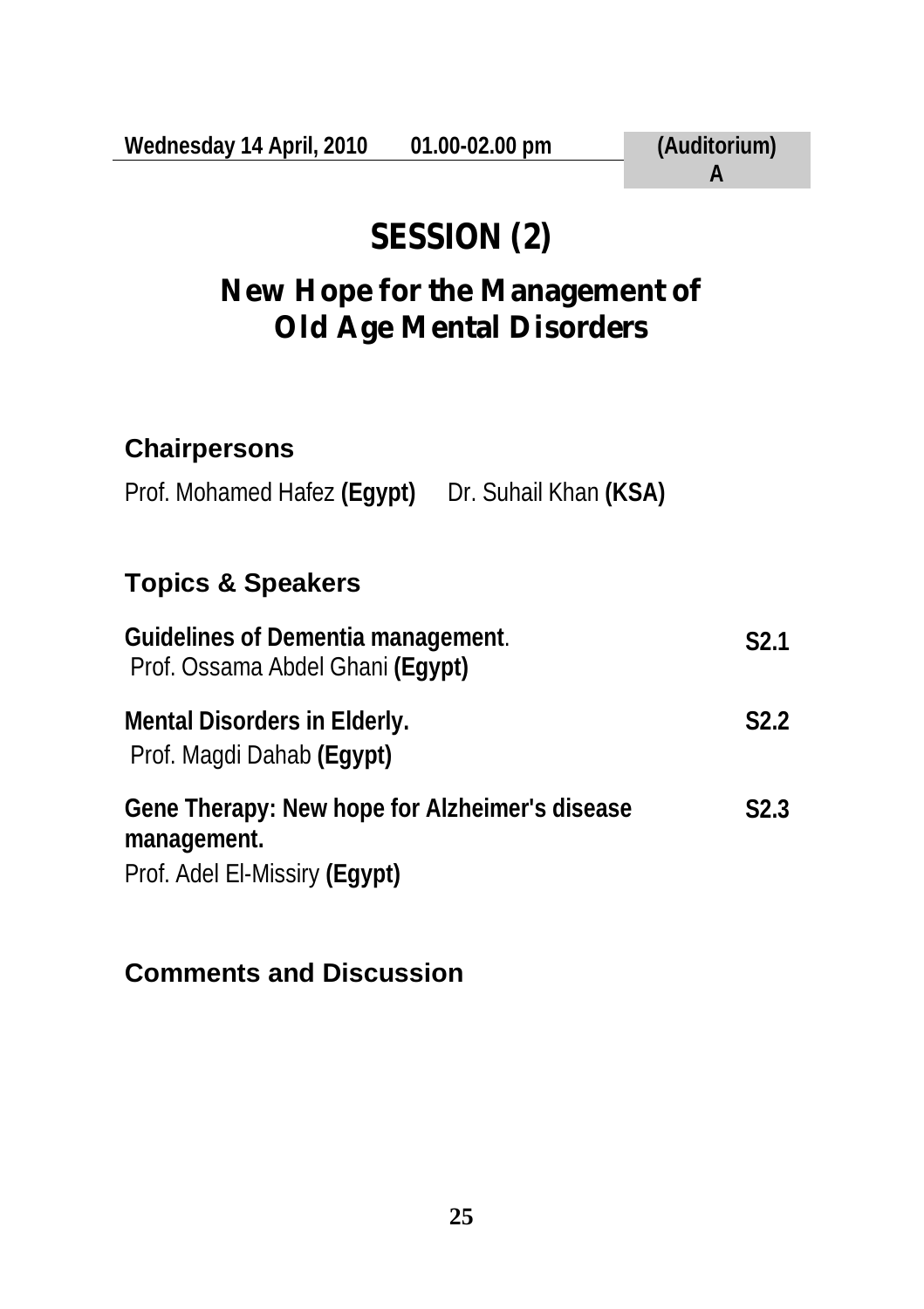# **SESSION (2)**

## **New Hope for the Management of Old Age Mental Disorders**

#### **Chairpersons**

Prof. Mohamed Hafez (Egypt) Dr. Suhail Khan (KSA)

### **Topics & Speakers**

| Guidelines of Dementia management.<br>Prof. Ossama Abdel Ghani (Eqypt)                         | S <sub>2.1</sub> |
|------------------------------------------------------------------------------------------------|------------------|
| Mental Disorders in Elderly.<br>Prof. Magdi Dahab (Egypt)                                      | S <sub>2.2</sub> |
| Gene Therapy: New hope for Alzheimer's disease<br>management.<br>Prof. Adel El-Missiry (Egypt) | S2.3             |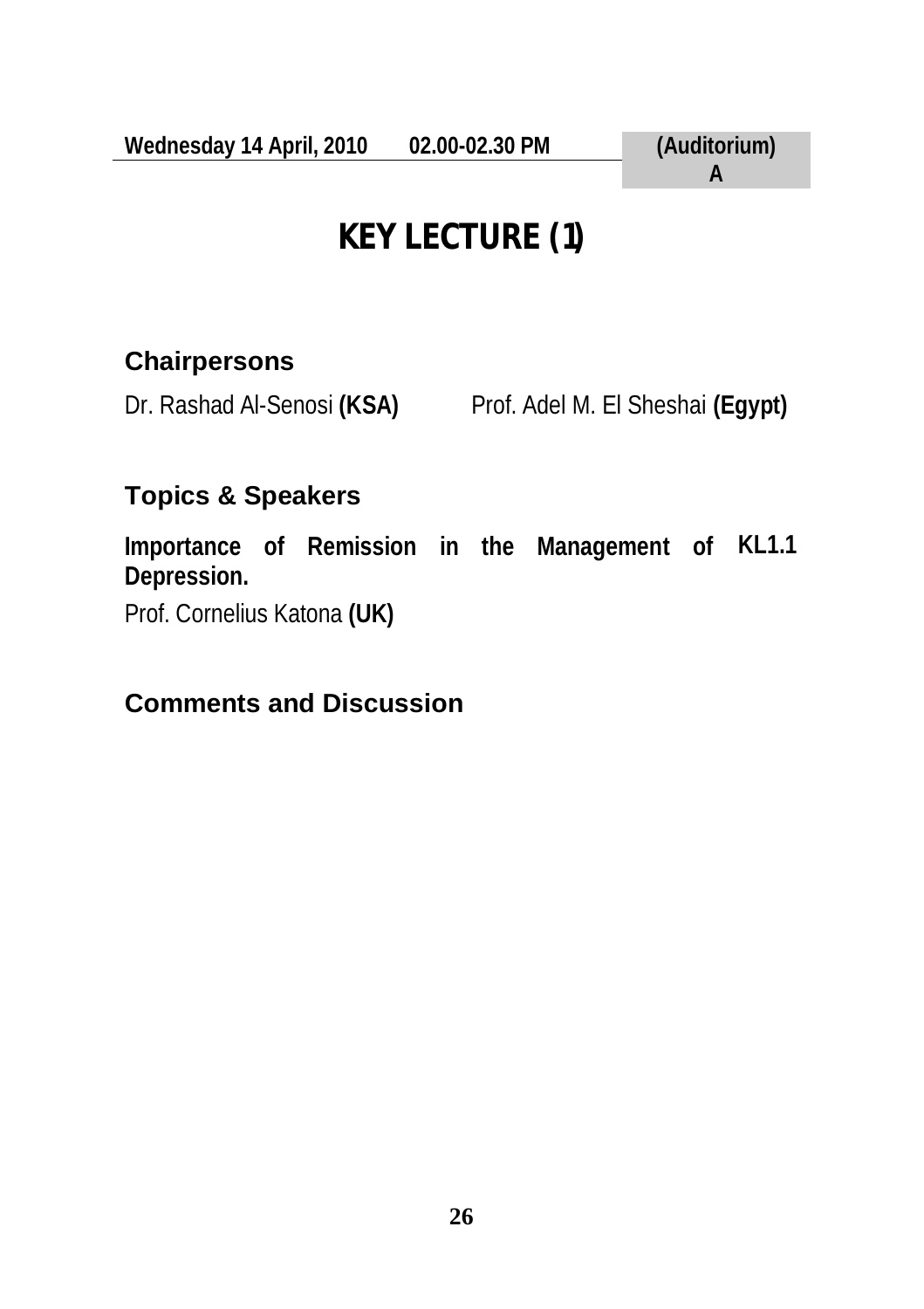# **KEY LECTURE (1)**

#### **Chairpersons**

Dr. Rashad Al-Senosi **(KSA)** Prof. Adel M. El Sheshai **(Egypt)**

### **Topics & Speakers**

**Importance of Remission in the Management of KL1.1 Depression.**  Prof. Cornelius Katona **(UK)**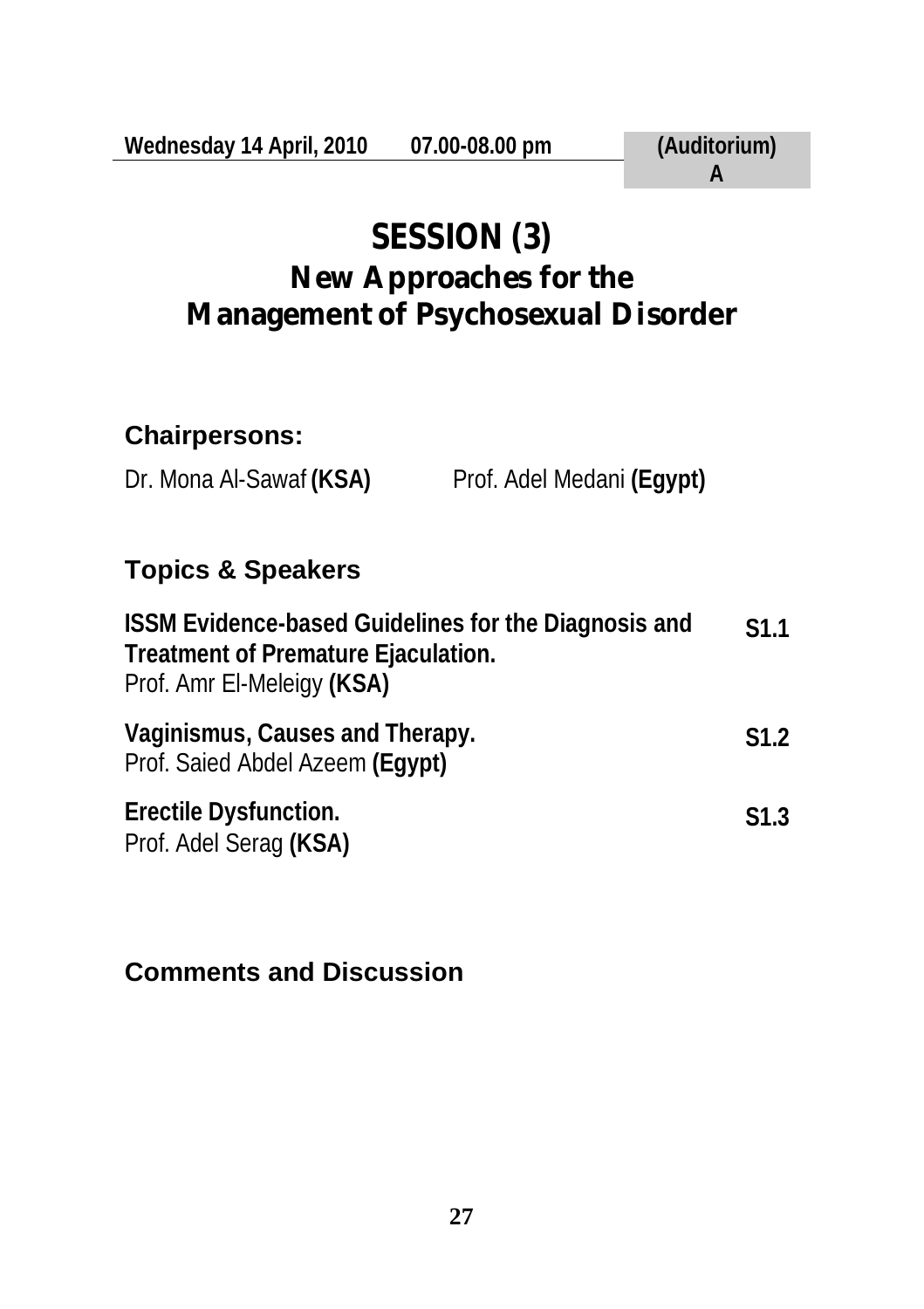## **SESSION (3) New Approaches for the Management of Psychosexual Disorder**

#### **Chairpersons:**

Dr. Mona Al-Sawaf **(KSA)** Prof. Adel Medani **(Egypt)**

#### **Topics & Speakers**

| ISSM Evidence-based Guidelines for the Diagnosis and<br>Treatment of Premature Ejaculation.<br>Prof. Amr El-Meleigy (KSA) | S <sub>1.1</sub> |
|---------------------------------------------------------------------------------------------------------------------------|------------------|
| Vaginismus, Causes and Therapy.<br>Prof. Saied Abdel Azeem (Eqypt)                                                        | S <sub>1.2</sub> |
| Erectile Dysfunction.<br>Prof. Adel Serag (KSA)                                                                           | S1.3             |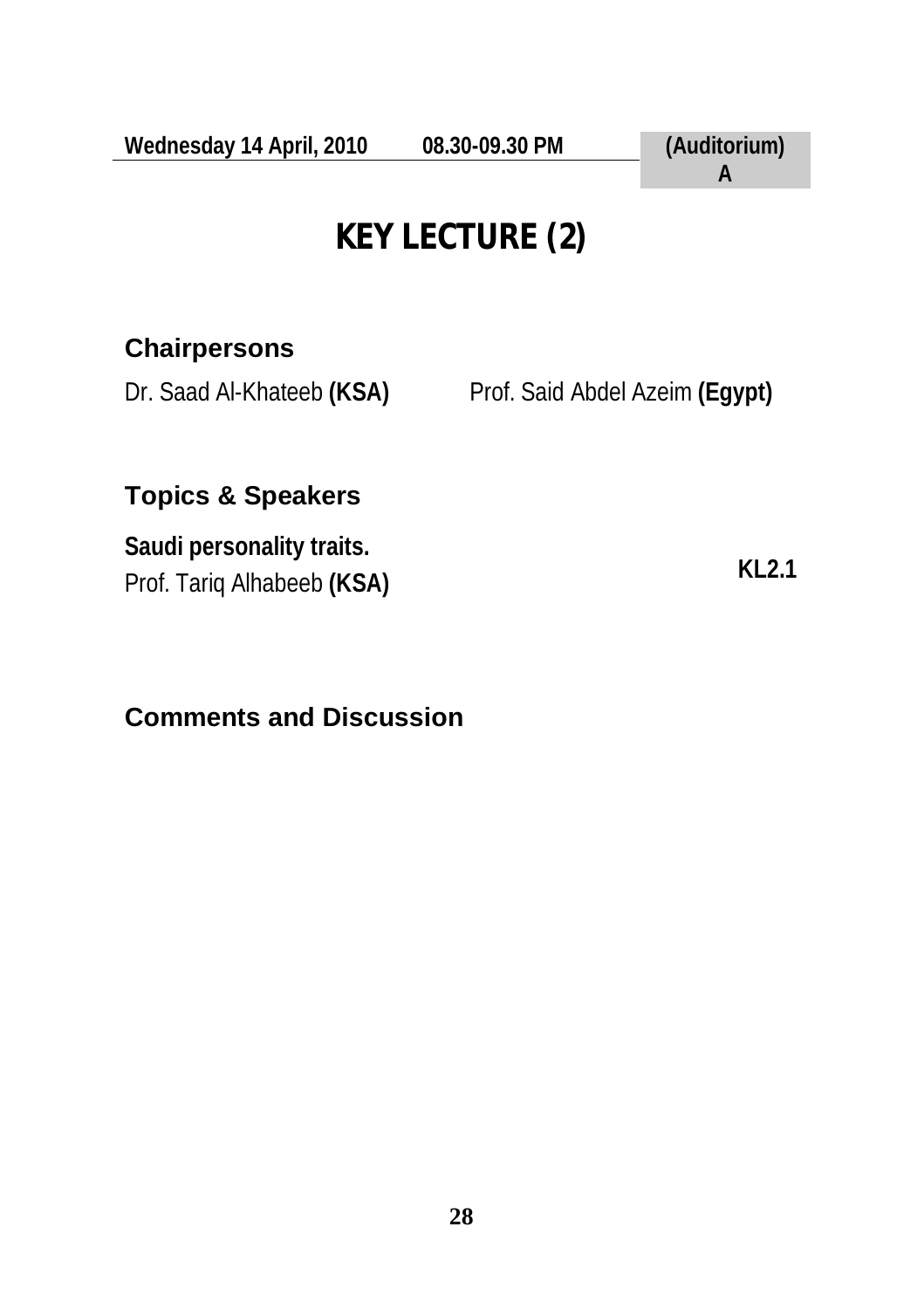## **KEY LECTURE (2)**

#### **Chairpersons**

Dr. Saad Al-Khateeb **(KSA)** Prof. Said Abdel Azeim **(Egypt)**

### **Topics & Speakers**

**Saudi personality traits.**  Prof. Tariq Alhabeeb **(KSA) KL2.1**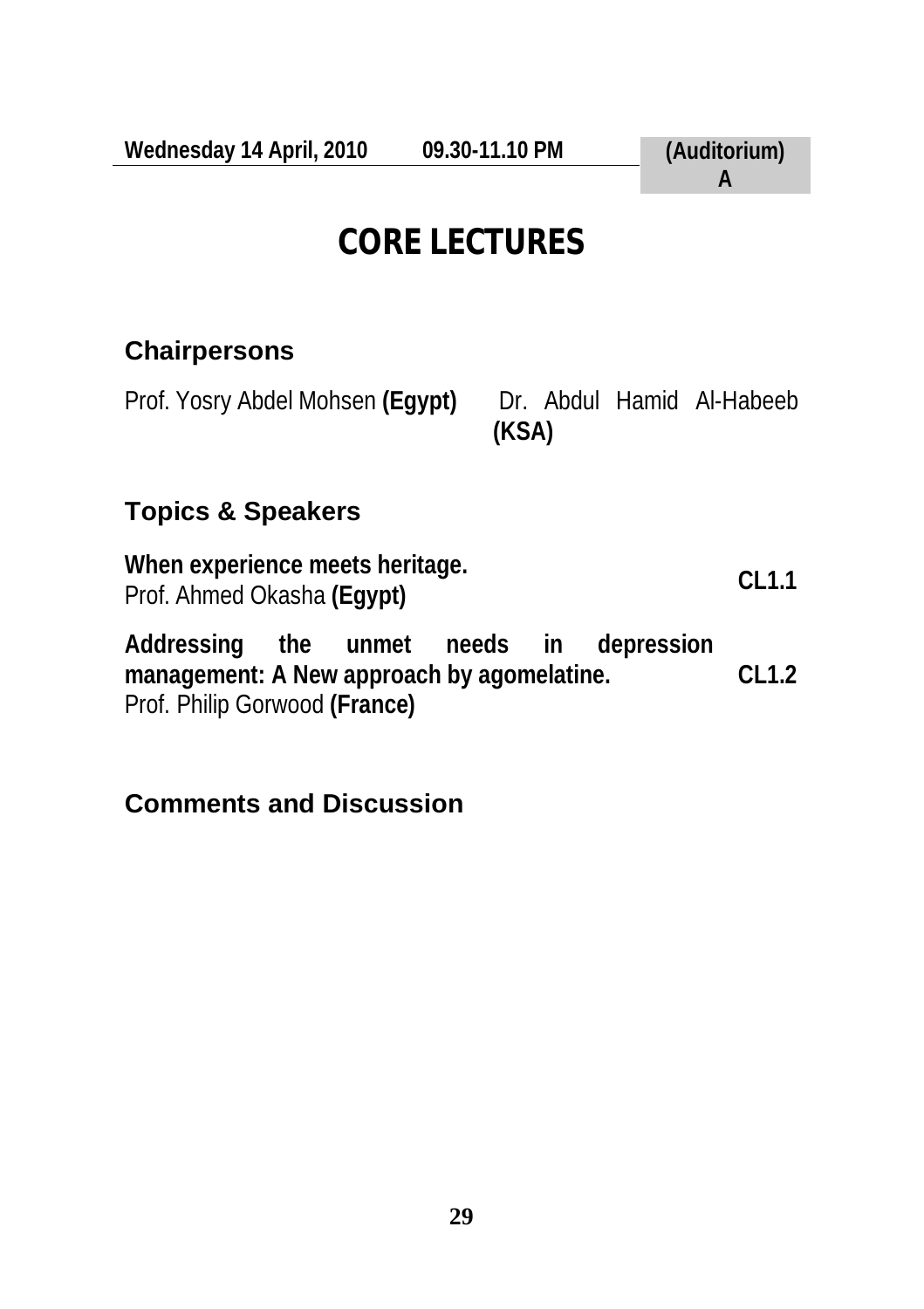## **CORE LECTURES**

#### **Chairpersons**

Prof. Yosry Abdel Mohsen (Egypt) Dr. Abdul Hamid Al-Habeeb

**(KSA)**

### **Topics & Speakers**

**When experience meets heritage.**  Prof. Ahmed Okasha **(Egypt) CL1.1** 

**Addressing the unmet needs in depression management: A New approach by agomelatine.**  Prof. Philip Gorwood **(France) CL1.2**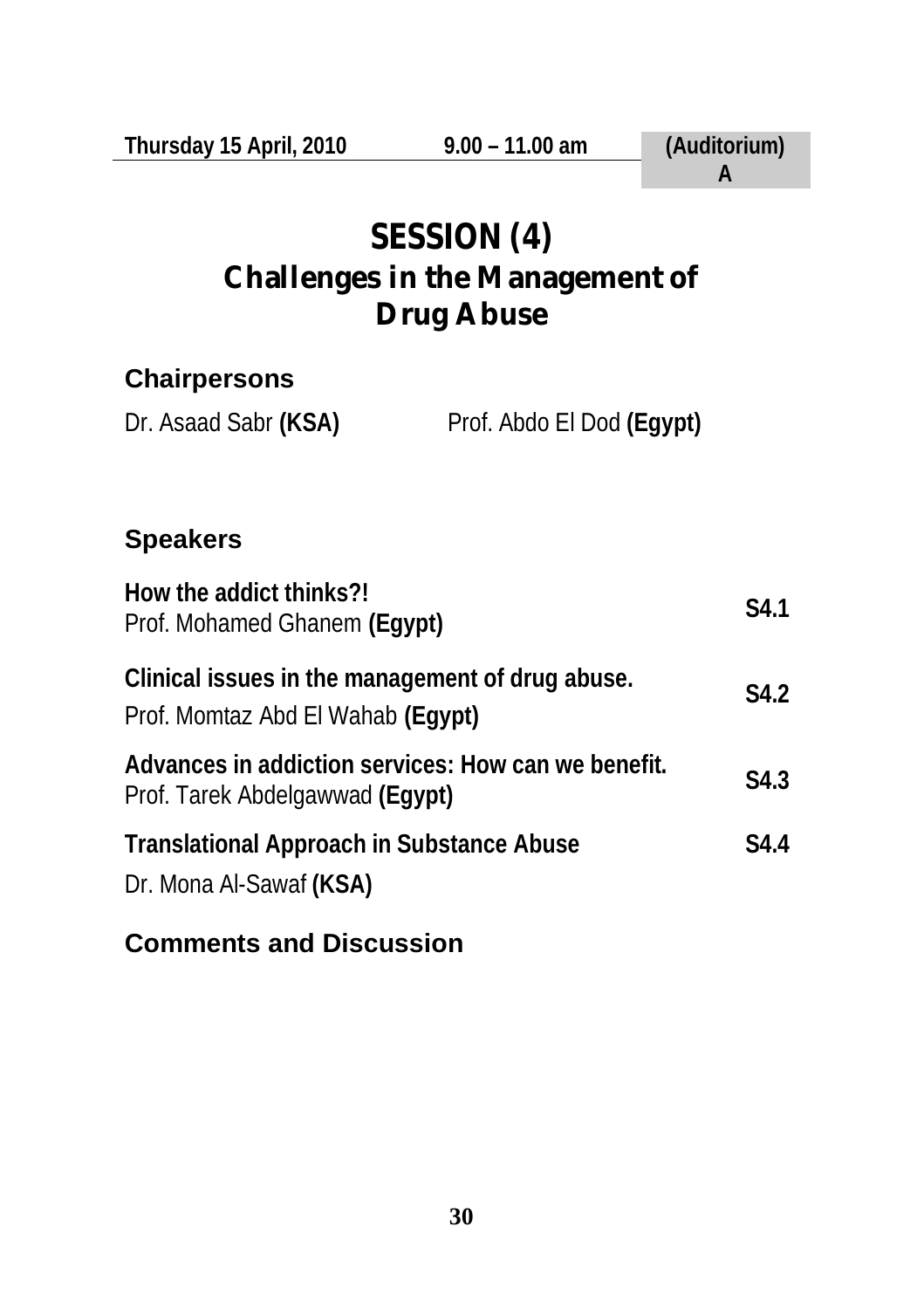| Thursday 15 April, 2010                                                                | $9.00 - 11.00$ am         | (Auditorium)<br>A |  |  |
|----------------------------------------------------------------------------------------|---------------------------|-------------------|--|--|
| SESSION (4)<br><b>Challenges in the Management of</b><br><b>Drug Abuse</b>             |                           |                   |  |  |
| <b>Chairpersons</b>                                                                    |                           |                   |  |  |
| Dr. Asaad Sabr (KSA)                                                                   | Prof. Abdo El Dod (Egypt) |                   |  |  |
|                                                                                        |                           |                   |  |  |
| <b>Speakers</b>                                                                        |                           |                   |  |  |
| How the addict thinks?!<br>Prof. Mohamed Ghanem (Egypt)                                |                           | S4.1              |  |  |
| Clinical issues in the management of drug abuse.<br>Prof. Momtaz Abd El Wahab (Egypt)  |                           | S4.2              |  |  |
| Advances in addiction services: How can we benefit.<br>Prof. Tarek Abdelgawwad (Egypt) |                           | S4.3              |  |  |
| <b>Translational Approach in Substance Abuse</b><br>Dr. Mona Al-Sawaf (KSA)            |                           | S4.4              |  |  |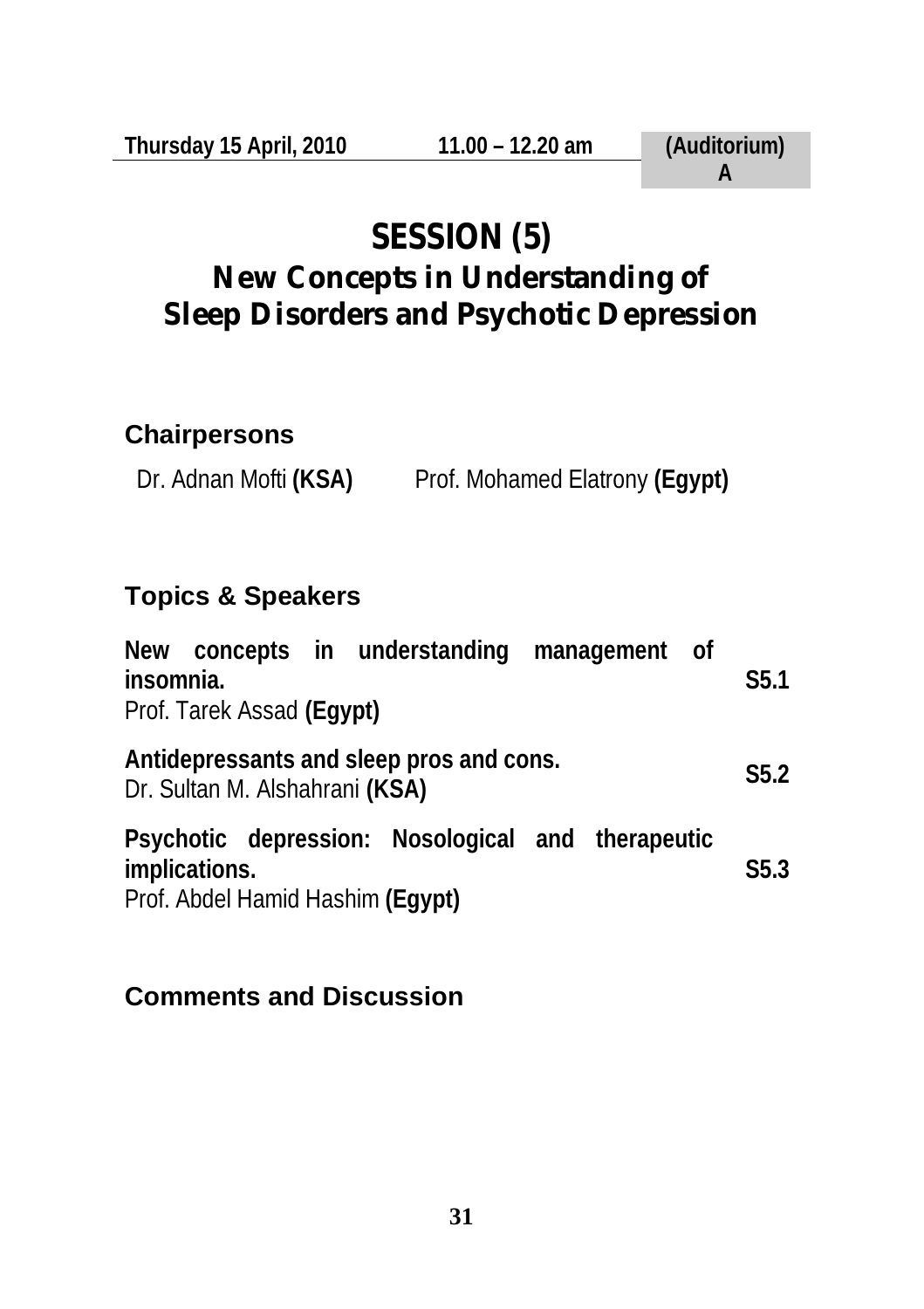# **SESSION (5)**

## **New Concepts in Understanding of Sleep Disorders and Psychotic Depression**

#### **Chairpersons**

Dr. Adnan Mofti **(KSA)** Prof. Mohamed Elatrony **(Egypt)**

#### **Topics & Speakers**

| New concepts in understanding management of<br>insomnia.<br>Prof. Tarek Assad (Egypt)                  | S <sub>5.1</sub> |
|--------------------------------------------------------------------------------------------------------|------------------|
| Antidepressants and sleep pros and cons.<br>Dr. Sultan M. Alshahrani (KSA)                             | S5.2             |
| Psychotic depression: Nosological and therapeutic<br>implications.<br>Prof. Abdel Hamid Hashim (Egypt) | S5.3             |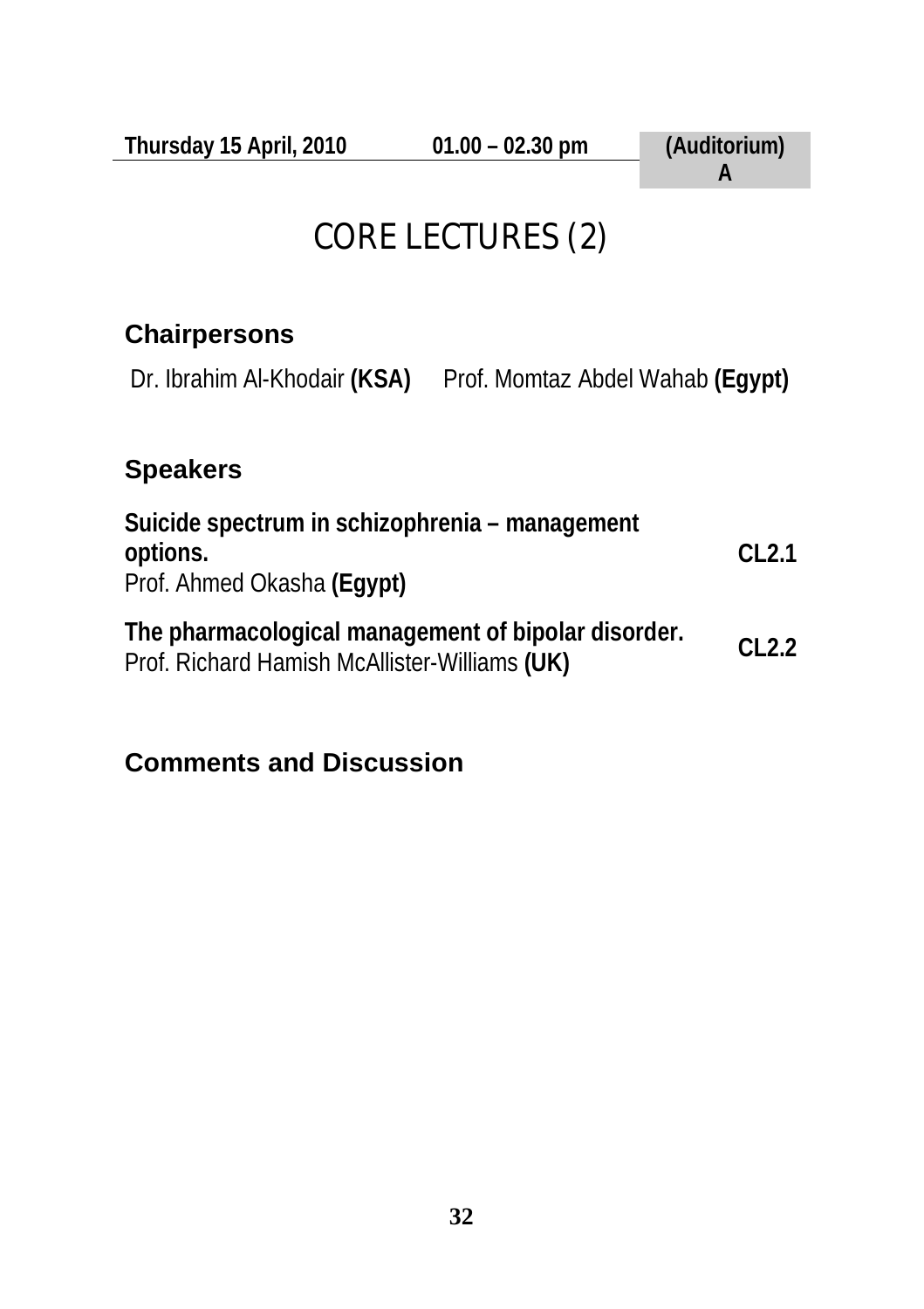## CORE LECTURES (2)

#### **Chairpersons**

Dr. Ibrahim Al-Khodair **(KSA)** Prof. Momtaz Abdel Wahab **(Egypt)**

#### **Speakers**

| Suicide spectrum in schizophrenia – management<br>options.<br>Prof. Ahmed Okasha (Eqypt)             | CL2.1 |
|------------------------------------------------------------------------------------------------------|-------|
| The pharmacological management of bipolar disorder.<br>Prof. Richard Hamish McAllister-Williams (UK) | CL2.2 |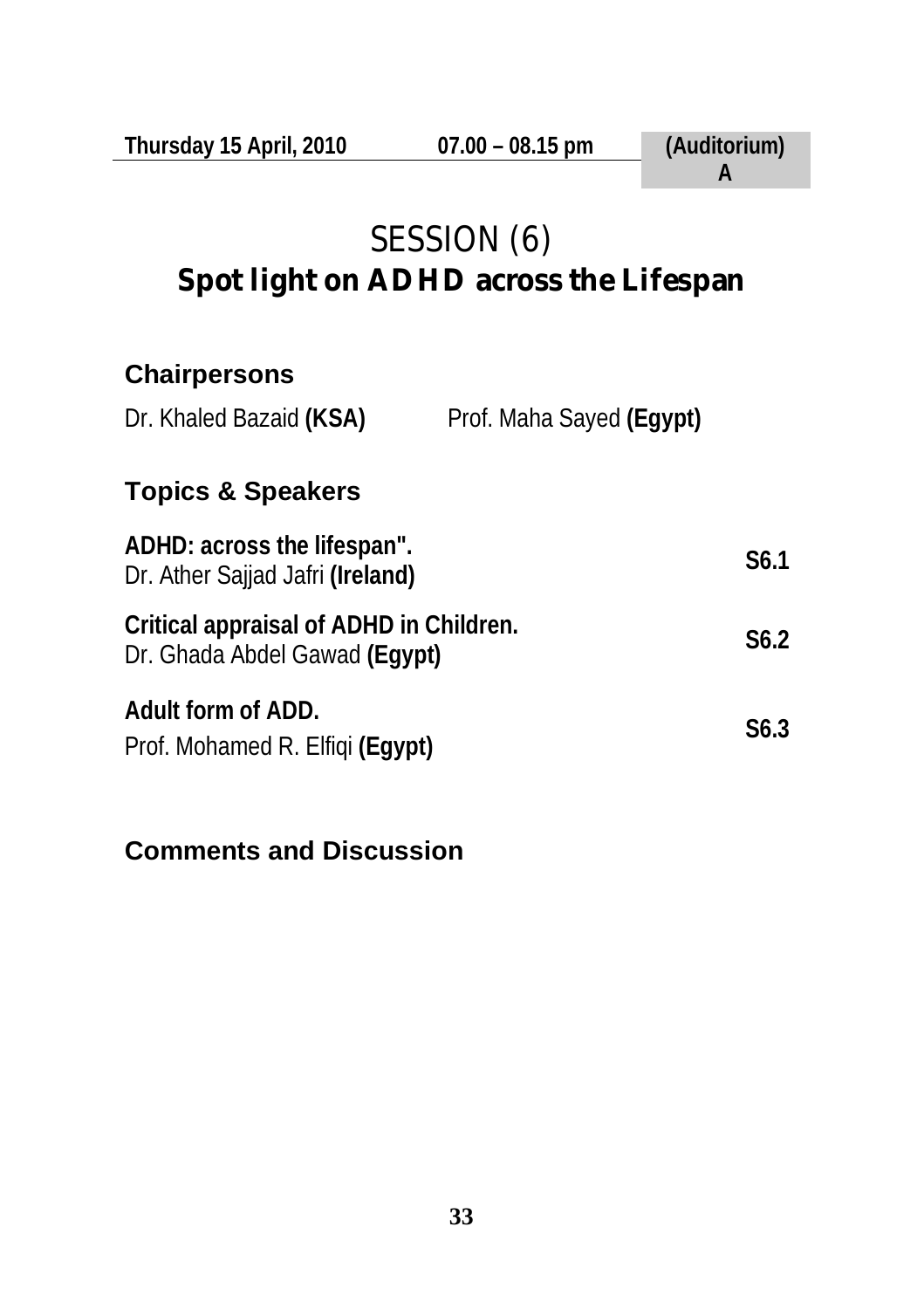## SESSION (6) **Spot light on ADHD across the Lifespan**

#### **Chairpersons**

| Prof. Maha Sayed (Egypt)<br>Dr. Khaled Bazaid (KSA) |  |
|-----------------------------------------------------|--|
|-----------------------------------------------------|--|

#### **Topics & Speakers**

| ADHD: across the lifespan".<br>Dr. Ather Sajjad Jafri (Ireland)          | S <sub>6.1</sub> |
|--------------------------------------------------------------------------|------------------|
| Critical appraisal of ADHD in Children.<br>Dr. Ghada Abdel Gawad (Eqypt) | S <sub>6.2</sub> |
| Adult form of ADD.<br>Prof. Mohamed R. Elfiqi (Eqypt)                    | S <sub>6.3</sub> |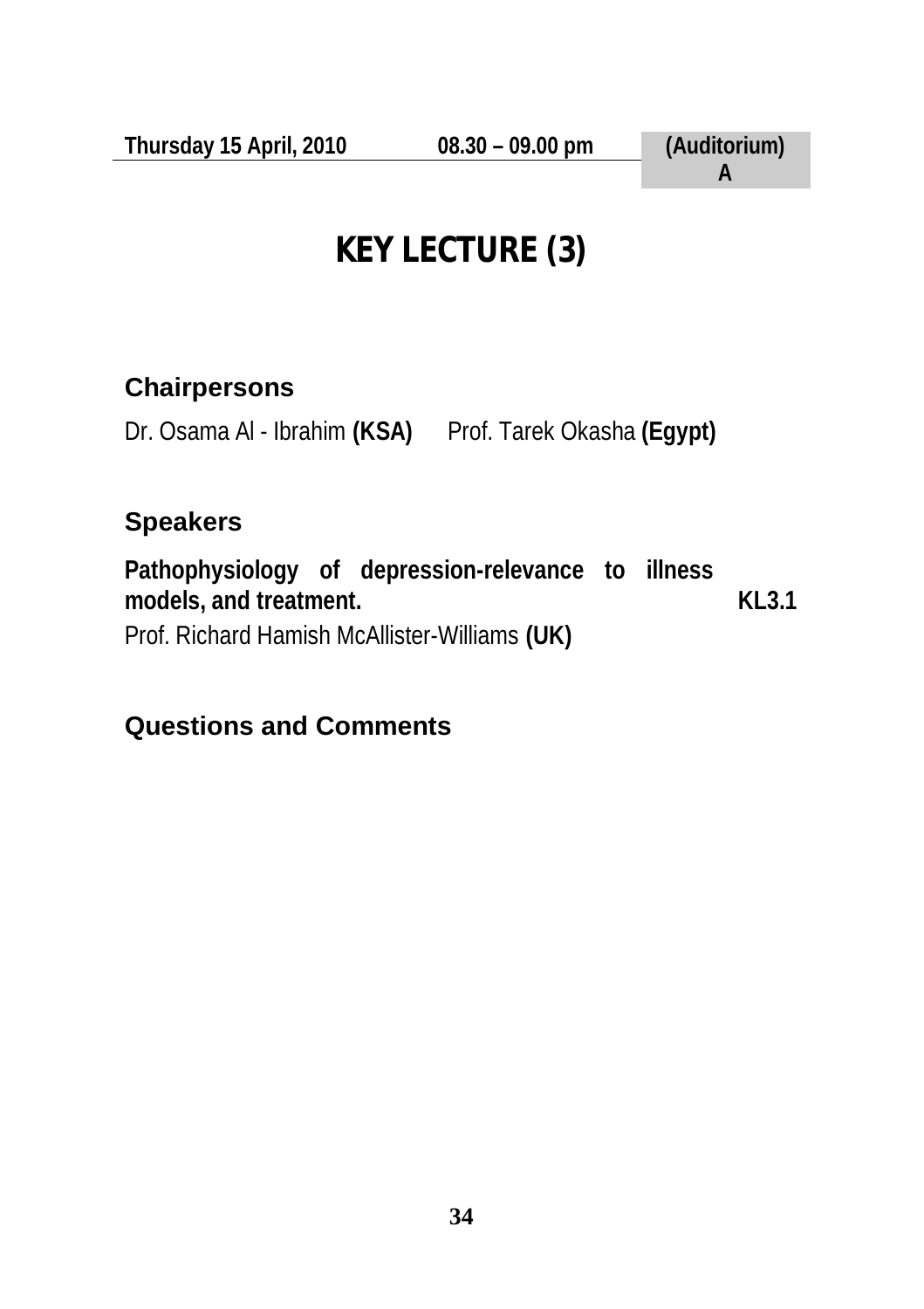# **KEY LECTURE (3)**

#### **Chairpersons**

Dr. Osama Al - Ibrahim **(KSA)** Prof. Tarek Okasha **(Egypt)**

#### **Speakers**

**Pathophysiology of depression-relevance to illness models, and treatment.**  Prof. Richard Hamish McAllister-Williams **(UK) KL3.1** 

#### **Questions and Comments**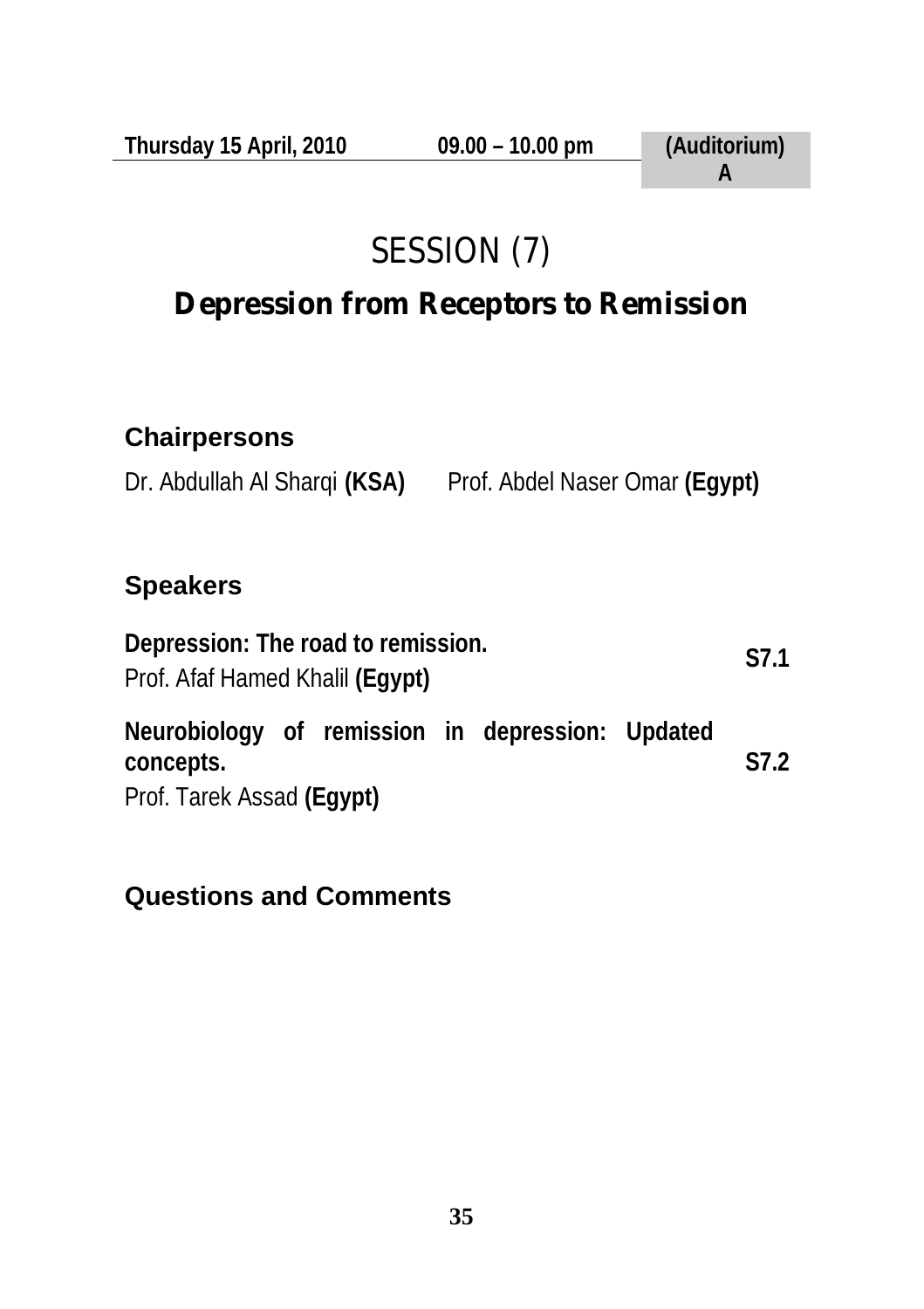# SESSION (7)

## **Depression from Receptors to Remission**

#### **Chairpersons**

Dr. Abdullah Al Sharqi **(KSA)** Prof. Abdel Naser Omar **(Egypt)**

#### **Speakers**

**Depression: The road to remission.**  Prof. Afaf Hamed Khalil **(Egypt) S7.1 Neurobiology of remission in depression: Updated concepts.**  Prof. Tarek Assad **(Egypt) S7.2**

#### **Questions and Comments**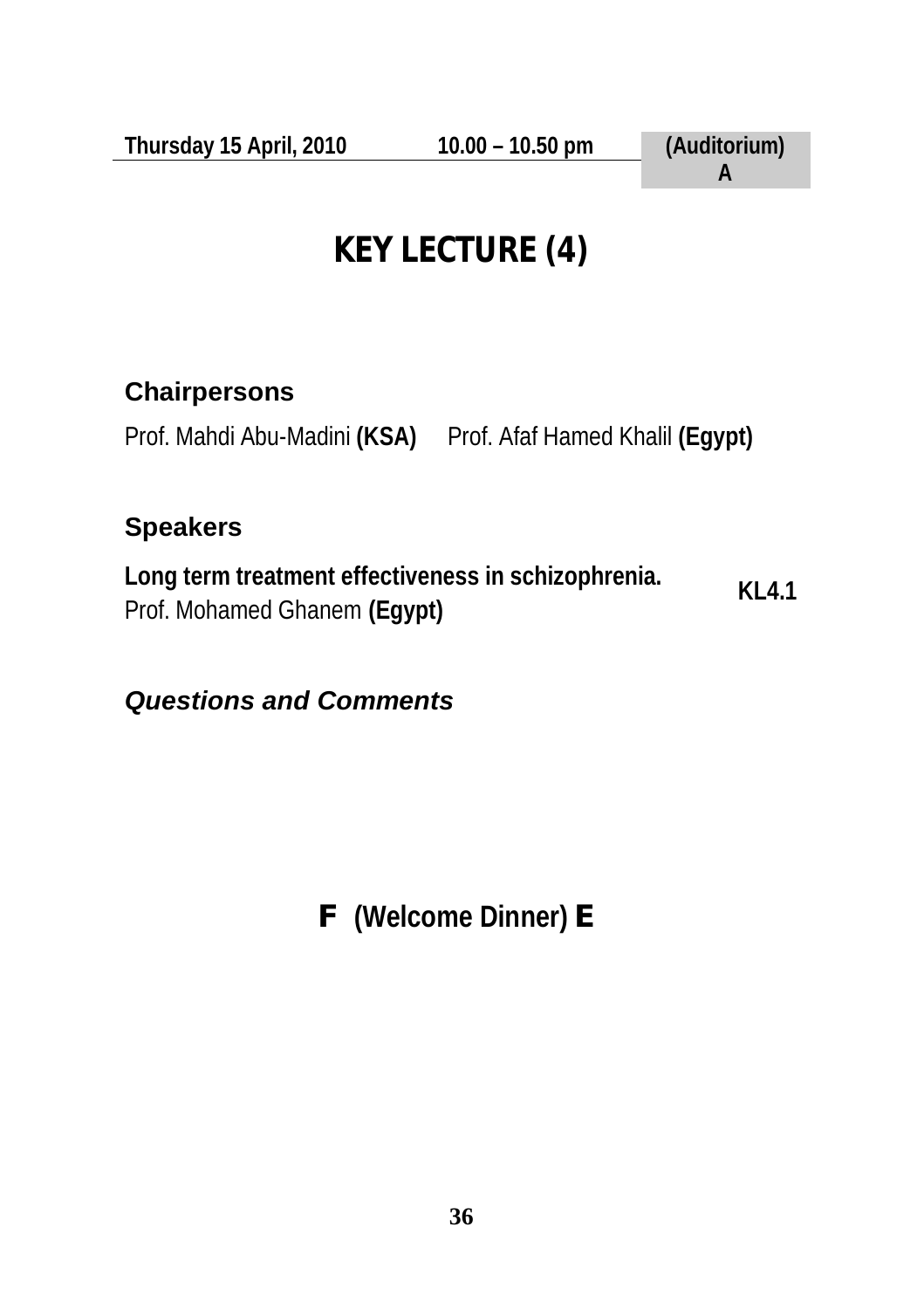# **KEY LECTURE (4)**

#### **Chairpersons**

Prof. Mahdi Abu-Madini **(KSA)** Prof. Afaf Hamed Khalil **(Egypt)**

### **Speakers**

**Long term treatment effectiveness in schizophrenia.**  Prof. Mohamed Ghanem **(Egypt) KL4.1** 

### *Questions and Comments*

**F (Welcome Dinner) E**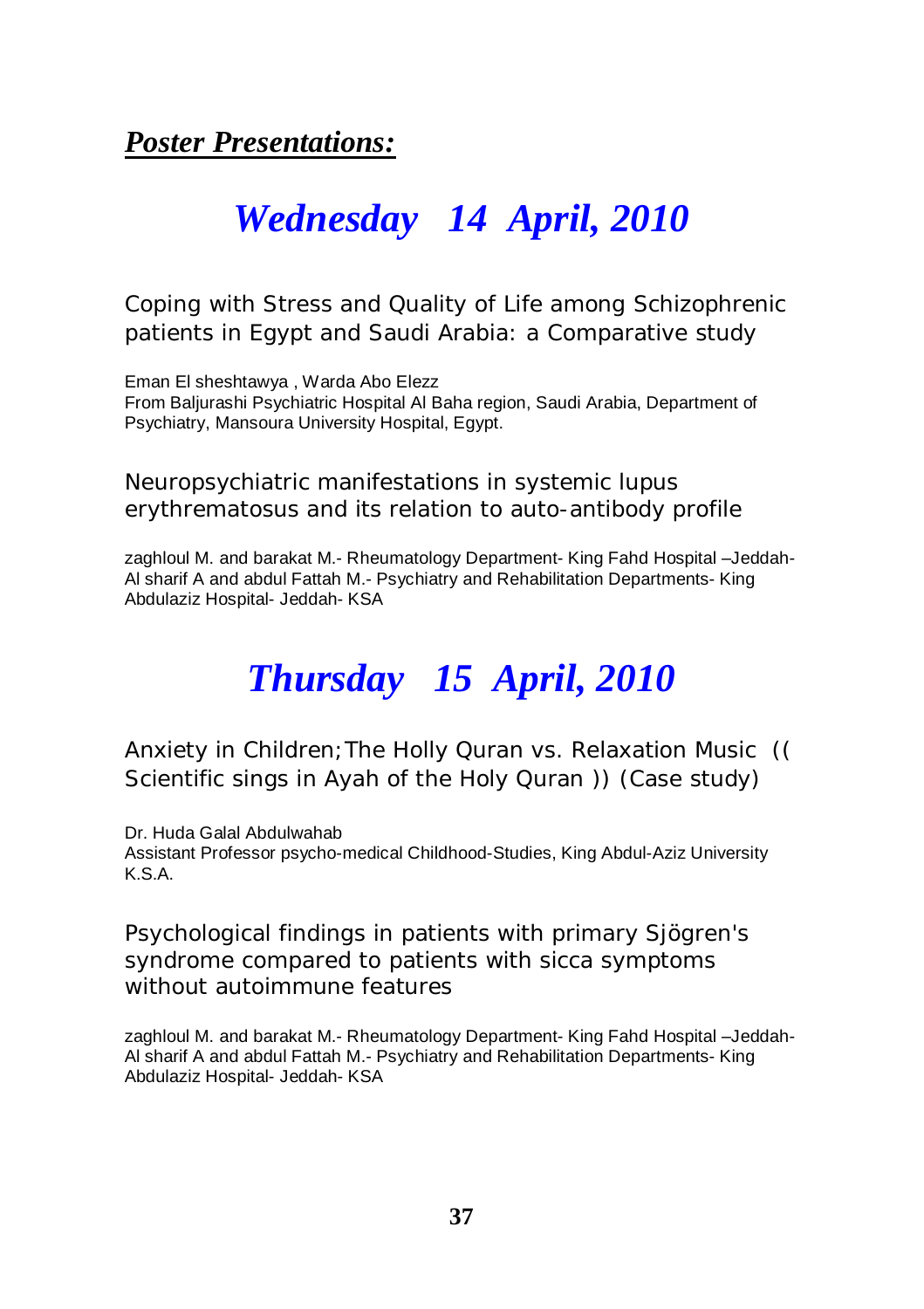*Poster Presentations:*

## *Wednesday 14 April, 2010*

#### Coping with Stress and Quality of Life among Schizophrenic patients in Egypt and Saudi Arabia: a Comparative study

Eman El sheshtawya , Warda Abo Elezz From Baljurashi Psychiatric Hospital Al Baha region, Saudi Arabia, Department of Psychiatry, Mansoura University Hospital, Egypt.

#### Neuropsychiatric manifestations in systemic lupus erythrematosus and its relation to auto-antibody profile

zaghloul M. and barakat M.- Rheumatology Department- King Fahd Hospital –Jeddah-Al sharif A and abdul Fattah M.- Psychiatry and Rehabilitation Departments- King Abdulaziz Hospital- Jeddah- KSA

## *Thursday 15 April, 2010*

#### Anxiety in Children;The Holly Quran vs. Relaxation Music (( Scientific sings in Ayah of the Holy Quran )) (Case study)

Dr. Huda Galal Abdulwahab Assistant Professor psycho-medical Childhood-Studies, King Abdul-Aziz University K.S.A.

#### Psychological findings in patients with primary Sjögren's syndrome compared to patients with sicca symptoms without autoimmune features

zaghloul M. and barakat M.- Rheumatology Department- King Fahd Hospital –Jeddah-Al sharif A and abdul Fattah M.- Psychiatry and Rehabilitation Departments- King Abdulaziz Hospital- Jeddah- KSA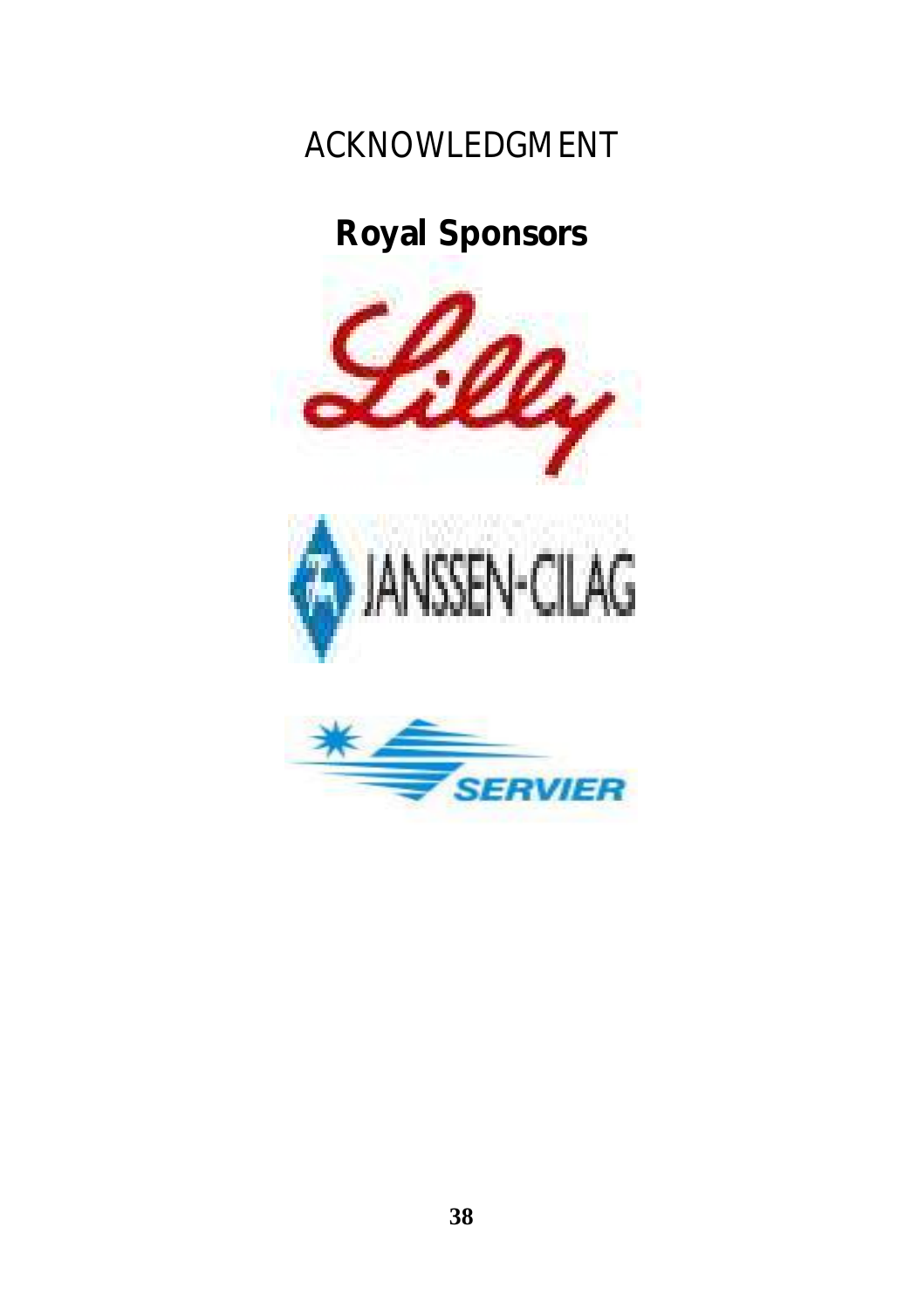## ACKNOWLEDGMENT

## **Royal Sponsors**